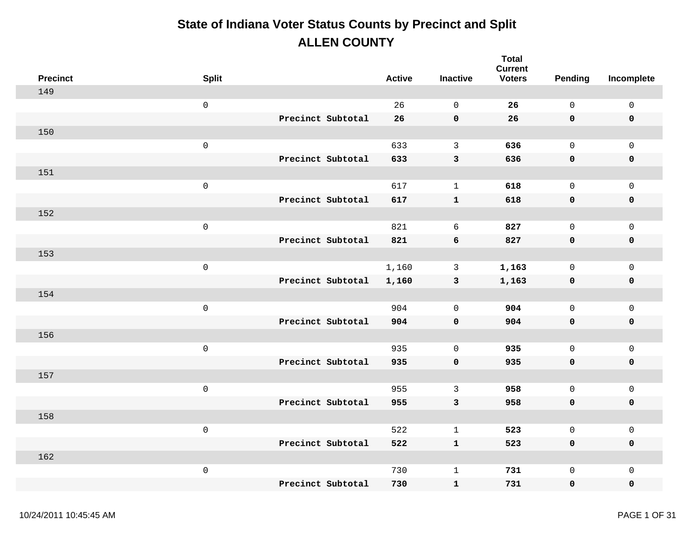| <b>Precinct</b> | <b>Split</b>        |                   | <b>Active</b> | <b>Inactive</b> | <b>Total</b><br><b>Current</b><br><b>Voters</b> | Pending      | Incomplete          |
|-----------------|---------------------|-------------------|---------------|-----------------|-------------------------------------------------|--------------|---------------------|
| 149             |                     |                   |               |                 |                                                 |              |                     |
|                 | $\mathsf 0$         |                   | 26            | $\mathbf 0$     | 26                                              | $\mathsf{O}$ | $\mathsf{O}\xspace$ |
|                 |                     | Precinct Subtotal | 26            | $\mathbf 0$     | 26                                              | 0            | $\pmb{0}$           |
| 150             |                     |                   |               |                 |                                                 |              |                     |
|                 | $\mathsf{O}\xspace$ |                   | 633           | $\mathbf{3}$    | 636                                             | $\mathsf{O}$ | $\mathbf 0$         |
|                 |                     | Precinct Subtotal | 633           | $\mathbf{3}$    | 636                                             | 0            | $\pmb{0}$           |
| 151             |                     |                   |               |                 |                                                 |              |                     |
|                 | $\mathsf 0$         |                   | 617           | $\mathbf{1}$    | 618                                             | $\mathsf{O}$ | $\mathsf{O}\xspace$ |
|                 |                     | Precinct Subtotal | 617           | ${\bf 1}$       | 618                                             | 0            | $\pmb{0}$           |
| 152             |                     |                   |               |                 |                                                 |              |                     |
|                 | $\mathsf{O}\xspace$ |                   | 821           | 6               | 827                                             | $\mathsf{O}$ | $\mathbf 0$         |
|                 |                     | Precinct Subtotal | 821           | 6               | 827                                             | $\mathbf 0$  | $\pmb{0}$           |
| 153             |                     |                   |               |                 |                                                 |              |                     |
|                 | $\mathsf 0$         |                   | 1,160         | $\mathbf{3}$    | 1,163                                           | $\mathsf{O}$ | $\mathsf{O}\xspace$ |
|                 |                     | Precinct Subtotal | 1,160         | $\mathbf{3}$    | 1,163                                           | 0            | $\pmb{0}$           |
| 154             |                     |                   |               |                 |                                                 |              |                     |
|                 | $\mathsf 0$         |                   | 904           | $\mathbf 0$     | 904                                             | $\mathsf{O}$ | $\mathsf{O}\xspace$ |
|                 |                     | Precinct Subtotal | 904           | $\mathbf 0$     | 904                                             | 0            | $\pmb{0}$           |
| 156             |                     |                   |               |                 |                                                 |              |                     |
|                 | $\mathsf 0$         |                   | 935           | $\mathbf 0$     | 935                                             | $\mathsf{O}$ | $\mathsf{O}\xspace$ |
|                 |                     | Precinct Subtotal | 935           | $\mathbf 0$     | 935                                             | 0            | $\pmb{0}$           |
| 157             |                     |                   |               |                 |                                                 |              |                     |
|                 | $\mathsf{O}\xspace$ |                   | 955           | $\mathbf{3}$    | 958                                             | $\mathsf{O}$ | $\mathbf 0$         |
|                 |                     | Precinct Subtotal | 955           | $\mathbf{3}$    | 958                                             | 0            | $\pmb{0}$           |
| 158             |                     |                   |               |                 |                                                 |              |                     |
|                 | $\mathsf 0$         |                   | 522           | $\mathbf{1}$    | 523                                             | $\mathsf{O}$ | $\mathsf{O}\xspace$ |
|                 |                     | Precinct Subtotal | 522           | $\mathbf 1$     | 523                                             | 0            | $\pmb{0}$           |
| 162             |                     |                   |               |                 |                                                 |              |                     |
|                 | $\mathsf 0$         |                   | 730           | $\mathbf 1$     | 731                                             | 0            | $\mathsf{O}\xspace$ |
|                 |                     | Precinct Subtotal | 730           | $\mathbf 1$     | 731                                             | 0            | $\mathbf 0$         |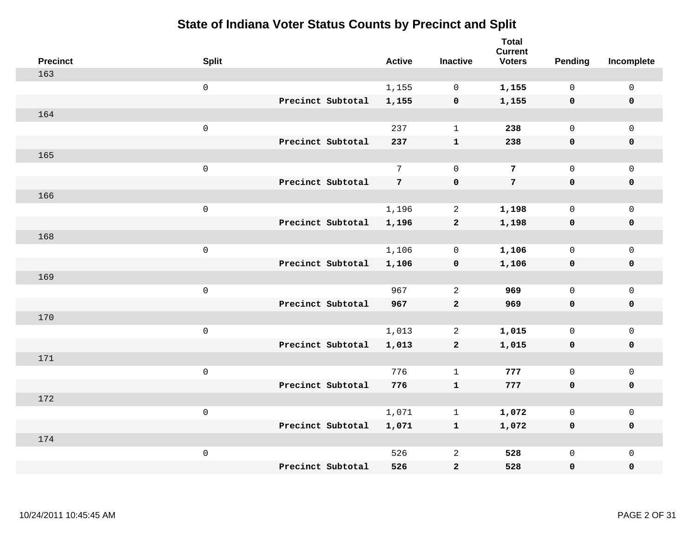| <b>Precinct</b> | <b>Split</b>        |                   | <b>Active</b>   | <b>Inactive</b> | <b>Total</b><br><b>Current</b><br><b>Voters</b> | <b>Pending</b> | Incomplete          |
|-----------------|---------------------|-------------------|-----------------|-----------------|-------------------------------------------------|----------------|---------------------|
| 163             |                     |                   |                 |                 |                                                 |                |                     |
|                 | $\mathsf 0$         |                   | 1,155           | $\mathsf{O}$    | 1,155                                           | $\mathbf 0$    | $\mathsf{O}\xspace$ |
|                 |                     | Precinct Subtotal | 1,155           | $\mathbf 0$     | 1,155                                           | $\mathbf 0$    | $\mathbf 0$         |
| 164             |                     |                   |                 |                 |                                                 |                |                     |
|                 | $\mathsf 0$         |                   | 237             | $\mathbf{1}$    | 238                                             | $\mathbf{0}$   | $\mathsf{O}$        |
|                 |                     | Precinct Subtotal | 237             | ${\bf 1}$       | 238                                             | $\mathbf 0$    | 0                   |
| 165             |                     |                   |                 |                 |                                                 |                |                     |
|                 | $\mathsf 0$         |                   | $7\overline{ }$ | $\mathbf 0$     | $\overline{7}$                                  | $\mathbf 0$    | $\mathsf{O}\xspace$ |
|                 |                     | Precinct Subtotal | 7               | $\mathbf 0$     | $7\phantom{.}$                                  | $\mathbf 0$    | $\mathbf 0$         |
| 166             |                     |                   |                 |                 |                                                 |                |                     |
|                 | $\mathsf{O}\xspace$ |                   | 1,196           | $\overline{2}$  | 1,198                                           | $\mathsf{O}$   | $\mathsf{O}$        |
|                 |                     | Precinct Subtotal | 1,196           | $\mathbf{2}$    | 1,198                                           | 0              | 0                   |
| 168             |                     |                   |                 |                 |                                                 |                |                     |
|                 | $\mathsf 0$         |                   | 1,106           | $\mathsf{O}$    | 1,106                                           | $\mathsf{O}$   | $\mathsf{O}\xspace$ |
|                 |                     | Precinct Subtotal | 1,106           | $\mathbf 0$     | 1,106                                           | 0              | 0                   |
| 169             |                     |                   |                 |                 |                                                 |                |                     |
|                 | $\mathsf{O}\xspace$ |                   | 967             | 2               | 969                                             | $\mathsf{O}$   | $\mathsf{O}\xspace$ |
|                 |                     | Precinct Subtotal | 967             | $\overline{a}$  | 969                                             | 0              | 0                   |
| 170             |                     |                   |                 |                 |                                                 |                |                     |
|                 | $\mathsf 0$         |                   | 1,013           | 2               | 1,015                                           | $\mathsf{O}$   | $\mathsf{O}$        |
|                 |                     | Precinct Subtotal | 1,013           | $\mathbf{2}$    | 1,015                                           | 0              | 0                   |
| 171             |                     |                   |                 |                 |                                                 |                |                     |
|                 | $\mathsf 0$         |                   | 776             | $\mathbf{1}$    | 777                                             | $\mathbf{0}$   | $\mathsf{O}\xspace$ |
|                 |                     | Precinct Subtotal | 776             | ${\bf 1}$       | 777                                             | 0              | 0                   |
| 172             |                     |                   |                 |                 |                                                 |                |                     |
|                 | $\mathsf 0$         |                   | 1,071           | $\mathbf{1}$    | 1,072                                           | $\mathbf 0$    | $\mathsf{O}$        |
|                 |                     | Precinct Subtotal | 1,071           | $\mathbf{1}$    | 1,072                                           | 0              | 0                   |
| 174             |                     |                   |                 |                 |                                                 |                |                     |
|                 | $\mathsf 0$         | Precinct Subtotal | 526             | $\sqrt{2}$      | 528                                             | $\mathsf{O}$   | $\mathsf{O}$        |
|                 |                     |                   | 526             | $\mathbf{2}$    | 528                                             | 0              | 0                   |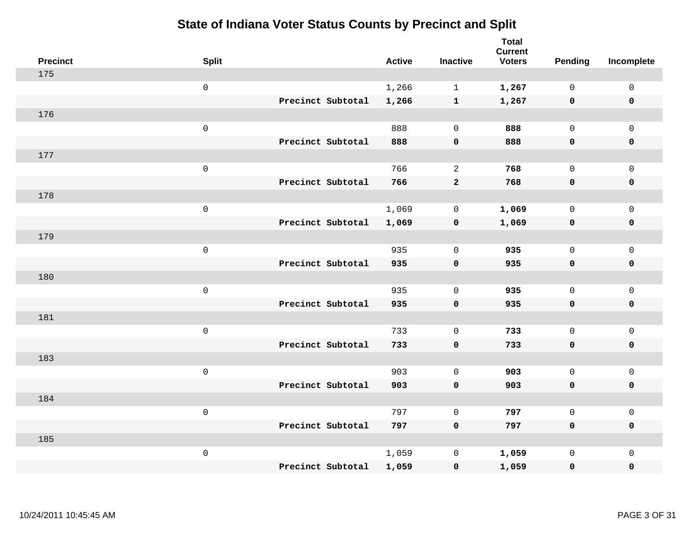| <b>Precinct</b> | <b>Split</b>        |                   | <b>Active</b> | <b>Inactive</b> | <b>Total</b><br><b>Current</b><br><b>Voters</b> | <b>Pending</b> | Incomplete          |
|-----------------|---------------------|-------------------|---------------|-----------------|-------------------------------------------------|----------------|---------------------|
| 175             |                     |                   |               |                 |                                                 |                |                     |
|                 | $\mathsf 0$         |                   | 1,266         | $\mathbf{1}$    | 1,267                                           | $\mathsf{O}$   | $\mathsf 0$         |
|                 |                     | Precinct Subtotal | 1,266         | $\mathbf{1}$    | 1,267                                           | $\mathbf 0$    | $\mathbf 0$         |
| 176             |                     |                   |               |                 |                                                 |                |                     |
|                 | $\mathsf{O}$        |                   | 888           | $\mathbf 0$     | 888                                             | $\mathbf{0}$   | $\mathsf{O}$        |
|                 |                     | Precinct Subtotal | 888           | $\pmb{0}$       | 888                                             | $\mathbf 0$    | 0                   |
| 177             |                     |                   |               |                 |                                                 |                |                     |
|                 | $\mathsf 0$         |                   | 766           | 2               | 768                                             | $\mathbf 0$    | $\mathsf{O}\xspace$ |
|                 |                     | Precinct Subtotal | 766           | $\mathbf{2}$    | 768                                             | $\mathbf 0$    | $\pmb{0}$           |
| 178             |                     |                   |               |                 |                                                 |                |                     |
|                 | $\mathsf{O}\xspace$ |                   | 1,069         | 0               | 1,069                                           | $\mathbf 0$    | $\mathsf{O}$        |
|                 |                     | Precinct Subtotal | 1,069         | $\mathbf 0$     | 1,069                                           | $\mathbf 0$    | 0                   |
| 179             |                     |                   |               |                 |                                                 |                |                     |
|                 | $\mathbf 0$         |                   | 935           | $\mathbf 0$     | 935                                             | $\mathbf 0$    | $\mathsf{O}\xspace$ |
|                 |                     | Precinct Subtotal | 935           | $\mathbf 0$     | 935                                             | $\mathbf 0$    | 0                   |
| 180             |                     |                   |               |                 |                                                 |                |                     |
|                 | $\mathsf{O}\xspace$ |                   | 935           | $\mathbf 0$     | 935                                             | $\mathsf{O}$   | $\mathsf{O}\xspace$ |
|                 |                     | Precinct Subtotal | 935           | $\mathbf 0$     | 935                                             | 0              | 0                   |
| 181             |                     |                   |               |                 |                                                 |                |                     |
|                 | $\mathbf 0$         |                   | 733           | $\mathbf 0$     | 733                                             | $\mathbf 0$    | $\mathsf{O}$        |
|                 |                     | Precinct Subtotal | 733           | $\mathbf 0$     | 733                                             | 0              | 0                   |
| 183             |                     |                   |               |                 |                                                 |                |                     |
|                 | $\mathbf 0$         |                   | 903           | $\mathbf 0$     | 903                                             | $\mathsf{O}$   | $\mathsf{O}\xspace$ |
|                 |                     | Precinct Subtotal | 903           | $\pmb{0}$       | 903                                             | $\mathbf 0$    | 0                   |
| 184             |                     |                   |               |                 |                                                 |                |                     |
|                 | $\mathbf 0$         |                   | 797           | $\mathbf 0$     | 797                                             | $\mathbf 0$    | $\mathsf{O}$        |
|                 |                     | Precinct Subtotal | 797           | $\mathbf 0$     | 797                                             | 0              | 0                   |
| 185             |                     |                   |               |                 |                                                 |                |                     |
|                 | $\mathbf 0$         |                   | 1,059         | $\mathbb O$     | 1,059                                           | $\mathsf{O}$   | $\mathsf{O}$        |
|                 |                     | Precinct Subtotal | 1,059         | $\pmb{0}$       | 1,059                                           | 0              | 0                   |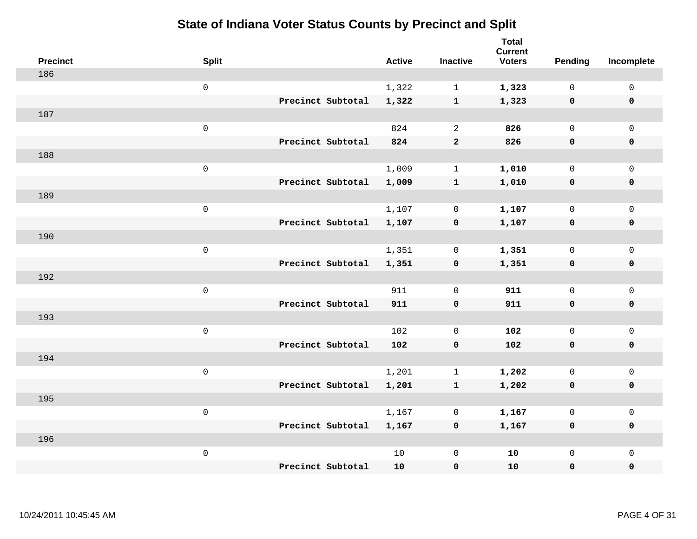| <b>Precinct</b> | <b>Split</b>        |                   | <b>Active</b> | <b>Inactive</b> | <b>Total</b><br><b>Current</b><br><b>Voters</b> | Pending      | Incomplete  |
|-----------------|---------------------|-------------------|---------------|-----------------|-------------------------------------------------|--------------|-------------|
| 186             |                     |                   |               |                 |                                                 |              |             |
|                 | $\mathsf{O}\xspace$ |                   | 1,322         | $\mathbf{1}$    | 1,323                                           | $\mathsf{O}$ | $\mathsf 0$ |
|                 |                     | Precinct Subtotal | 1,322         | $\mathbf{1}$    | 1,323                                           | $\mathbf 0$  | $\mathbf 0$ |
| 187             |                     |                   |               |                 |                                                 |              |             |
|                 | $\mathsf 0$         |                   | 824           | 2               | 826                                             | $\mathbf 0$  | $\mathbf 0$ |
|                 |                     | Precinct Subtotal | 824           | $\mathbf{2}$    | 826                                             | $\mathbf 0$  | $\mathbf 0$ |
| 188             |                     |                   |               |                 |                                                 |              |             |
|                 | $\mathsf 0$         |                   | 1,009         | $\mathbf{1}$    | 1,010                                           | $\mathbf 0$  | $\mathsf 0$ |
|                 |                     | Precinct Subtotal | 1,009         | $\mathbf{1}$    | 1,010                                           | $\mathbf 0$  | $\mathbf 0$ |
| 189             |                     |                   |               |                 |                                                 |              |             |
|                 | $\mathsf 0$         |                   | 1,107         | 0               | 1,107                                           | $\mathsf{O}$ | $\mathbf 0$ |
|                 |                     | Precinct Subtotal | 1,107         | $\pmb{0}$       | 1,107                                           | $\mathbf 0$  | $\mathbf 0$ |
| 190             |                     |                   |               |                 |                                                 |              |             |
|                 | $\mathsf 0$         |                   | 1,351         | $\mathbf 0$     | 1,351                                           | $\mathbf 0$  | $\mathsf 0$ |
|                 |                     | Precinct Subtotal | 1,351         | $\mathbf 0$     | 1,351                                           | 0            | $\mathbf 0$ |
| 192             |                     |                   |               |                 |                                                 |              |             |
|                 | $\mathsf 0$         |                   | 911           | $\mathbf 0$     | 911                                             | $\mathbf 0$  | $\mathsf 0$ |
|                 |                     | Precinct Subtotal | 911           | $\mathbf 0$     | 911                                             | $\mathbf 0$  | $\mathbf 0$ |
| 193             |                     |                   |               |                 |                                                 |              |             |
|                 | $\mathbf 0$         |                   | 102           | $\mathbf 0$     | 102                                             | $\mathsf{O}$ | $\mathbf 0$ |
|                 |                     | Precinct Subtotal | 102           | $\mathbf 0$     | 102                                             | 0            | 0           |
| 194             |                     |                   |               |                 |                                                 |              |             |
|                 | $\mathsf 0$         |                   | 1,201         | $\mathbf{1}$    | 1,202                                           | $\mathsf{O}$ | $\mathbf 0$ |
|                 |                     | Precinct Subtotal | 1,201         | $\mathbf{1}$    | 1,202                                           | $\mathbf 0$  | $\pmb{0}$   |
| 195             |                     |                   |               |                 |                                                 |              |             |
|                 | $\mathbf 0$         |                   | 1,167         | 0               | 1,167                                           | $\mathbf 0$  | $\mathbf 0$ |
|                 |                     | Precinct Subtotal | 1,167         | $\mathbf 0$     | 1,167                                           | 0            | $\mathbf 0$ |
| 196             |                     |                   |               |                 |                                                 |              |             |
|                 | $\mathsf 0$         |                   | 10            | $\mathbb O$     | 10                                              | $\mathsf{O}$ | $\mathbf 0$ |
|                 |                     | Precinct Subtotal | 10            | $\pmb{0}$       | 10                                              | 0            | 0           |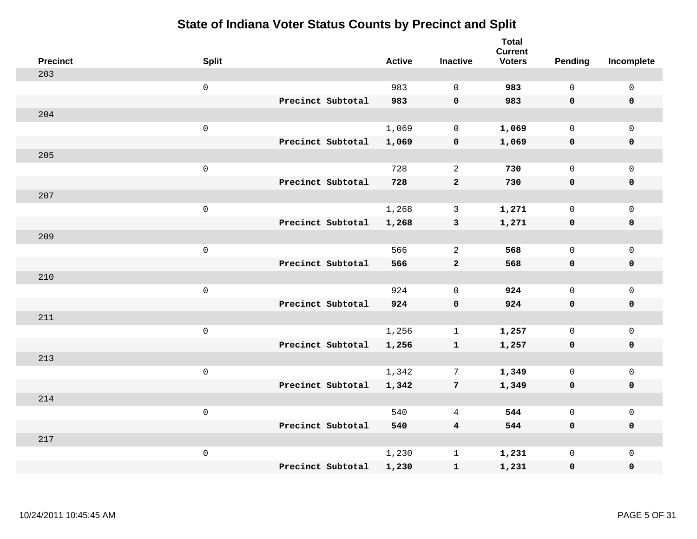| <b>Precinct</b> | <b>Split</b>        |                   | <b>Active</b> | <b>Inactive</b>         | <b>Total</b><br><b>Current</b><br><b>Voters</b> | Pending      | Incomplete          |
|-----------------|---------------------|-------------------|---------------|-------------------------|-------------------------------------------------|--------------|---------------------|
| 203             |                     |                   |               |                         |                                                 |              |                     |
|                 | $\mathsf 0$         |                   | 983           | $\Omega$                | 983                                             | $\mathbf 0$  | $\mathsf 0$         |
|                 |                     | Precinct Subtotal | 983           | $\mathbf 0$             | 983                                             | $\mathbf 0$  | $\mathbf 0$         |
| 204             |                     |                   |               |                         |                                                 |              |                     |
|                 | $\mathsf 0$         |                   | 1,069         | $\mathbf 0$             | 1,069                                           | $\mathsf{O}$ | $\mathsf{O}$        |
|                 |                     | Precinct Subtotal | 1,069         | $\pmb{0}$               | 1,069                                           | 0            | 0                   |
| 205             |                     |                   |               |                         |                                                 |              |                     |
|                 | $\mathsf 0$         |                   | 728           | 2                       | 730                                             | $\mathbf{0}$ | $\mathsf{O}$        |
|                 |                     | Precinct Subtotal | 728           | $\mathbf{2}$            | 730                                             | $\mathbf 0$  | $\pmb{0}$           |
| 207             |                     |                   |               |                         |                                                 |              |                     |
|                 | $\mathsf 0$         |                   | 1,268         | $\mathbf{3}$            | 1,271                                           | $\mathbf{0}$ | $\mathsf{O}\xspace$ |
|                 |                     | Precinct Subtotal | 1,268         | $\mathbf{3}$            | 1,271                                           | $\mathbf 0$  | $\pmb{0}$           |
| 209             |                     |                   |               |                         |                                                 |              |                     |
|                 | $\mathsf 0$         |                   | 566           | 2                       | 568                                             | $\mathbf{0}$ | $\mathsf 0$         |
|                 |                     | Precinct Subtotal | 566           | $\mathbf{2}$            | 568                                             | 0            | $\mathbf 0$         |
| 210             |                     |                   |               |                         |                                                 |              |                     |
|                 | $\,0\,$             |                   | 924           | $\mathbf 0$             | 924                                             | $\mathbf 0$  | $\mathsf{O}\xspace$ |
|                 |                     | Precinct Subtotal | 924           | $\mathbf 0$             | 924                                             | $\mathbf 0$  | 0                   |
| 211             |                     |                   |               |                         |                                                 |              |                     |
|                 | $\mathbf 0$         |                   | 1,256         | $\mathbf 1$             | 1,257                                           | $\mathbf 0$  | $\mathsf{O}\xspace$ |
|                 |                     | Precinct Subtotal | 1,256         | $\mathbf{1}$            | 1,257                                           | 0            | 0                   |
| 213             |                     |                   |               |                         |                                                 |              |                     |
|                 | $\mathsf{O}\xspace$ |                   | 1,342         | $7\phantom{.0}$         | 1,349                                           | $\mathbf 0$  | $\mathsf{O}\xspace$ |
|                 |                     | Precinct Subtotal | 1,342         | $7\phantom{.0}$         | 1,349                                           | $\mathbf 0$  | 0                   |
| 214             |                     |                   |               |                         |                                                 |              |                     |
|                 | $\mathsf 0$         |                   | 540           | 4                       | 544                                             | $\mathbf 0$  | $\mathsf 0$         |
|                 |                     | Precinct Subtotal | 540           | $\overline{\mathbf{4}}$ | 544                                             | 0            | 0                   |
| 217             |                     |                   |               |                         |                                                 |              |                     |
|                 | $\mathbf 0$         |                   | 1,230         | $\mathbf 1$             | 1,231                                           | $\mathsf{O}$ | $\mathsf{O}$        |
|                 |                     | Precinct Subtotal | 1,230         | ${\bf 1}$               | 1,231                                           | 0            | 0                   |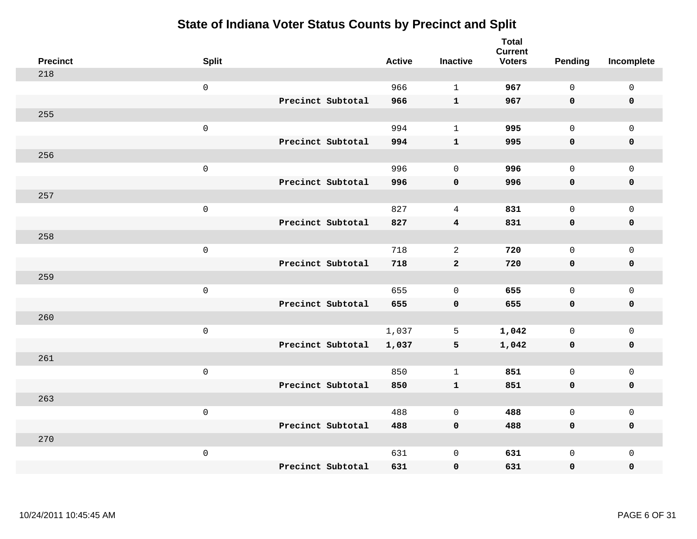| <b>Precinct</b> | <b>Split</b>        |                   | <b>Active</b> | <b>Inactive</b> | <b>Total</b><br><b>Current</b><br><b>Voters</b> | <b>Pending</b> | Incomplete          |
|-----------------|---------------------|-------------------|---------------|-----------------|-------------------------------------------------|----------------|---------------------|
| 218             |                     |                   |               |                 |                                                 |                |                     |
|                 | $\mathsf 0$         |                   | 966           | $\mathbf{1}$    | 967                                             | $\mathbf 0$    | $\mathsf 0$         |
|                 |                     | Precinct Subtotal | 966           | $\mathbf{1}$    | 967                                             | $\mathbf 0$    | $\mathbf 0$         |
| 255             |                     |                   |               |                 |                                                 |                |                     |
|                 | $\mathsf 0$         |                   | 994           | $\mathbf{1}$    | 995                                             | $\mathbf{0}$   | $\mathsf{O}$        |
|                 |                     | Precinct Subtotal | 994           | ${\bf 1}$       | 995                                             | $\mathbf 0$    | 0                   |
| 256             |                     |                   |               |                 |                                                 |                |                     |
|                 | $\mathsf{O}\xspace$ |                   | 996           | $\mathbf 0$     | 996                                             | $\mathbf{0}$   | $\mathsf{O}\xspace$ |
|                 |                     | Precinct Subtotal | 996           | $\mathbf 0$     | 996                                             | 0              | $\pmb{0}$           |
| 257             |                     |                   |               |                 |                                                 |                |                     |
|                 | $\mathsf{O}\xspace$ |                   | 827           | 4               | 831                                             | $\mathbf 0$    | $\mathsf{O}$        |
|                 |                     | Precinct Subtotal | 827           | $\overline{4}$  | 831                                             | 0              | 0                   |
| 258             |                     |                   |               |                 |                                                 |                |                     |
|                 | $\mathbf 0$         |                   | 718           | 2               | 720                                             | $\mathbf 0$    | $\mathsf{O}\xspace$ |
|                 |                     | Precinct Subtotal | 718           | $\mathbf{2}$    | 720                                             | 0              | 0                   |
| 259             |                     |                   |               |                 |                                                 |                |                     |
|                 | $\mathsf{O}\xspace$ |                   | 655           | $\mathbf 0$     | 655                                             | $\mathbf 0$    | $\mathsf{O}\xspace$ |
|                 |                     | Precinct Subtotal | 655           | $\mathbf 0$     | 655                                             | 0              | 0                   |
| 260             |                     |                   |               |                 |                                                 |                |                     |
|                 | $\mathbf 0$         |                   | 1,037         | 5               | 1,042                                           | $\mathbf 0$    | $\mathsf{O}$        |
|                 |                     | Precinct Subtotal | 1,037         | 5               | 1,042                                           | 0              | 0                   |
| 261             |                     |                   |               |                 |                                                 |                |                     |
|                 | $\mathbf 0$         |                   | 850           | $\mathbf{1}$    | 851                                             | $\mathsf{O}$   | $\mathsf{O}\xspace$ |
|                 |                     | Precinct Subtotal | 850           | ${\bf 1}$       | 851                                             | 0              | 0                   |
| 263             |                     |                   |               |                 |                                                 |                |                     |
|                 | $\mathbf 0$         |                   | 488           | $\mathbf 0$     | 488                                             | $\mathbf 0$    | $\mathsf{O}$        |
|                 |                     | Precinct Subtotal | 488           | $\pmb{0}$       | 488                                             | 0              | 0                   |
| 270             |                     |                   |               |                 |                                                 |                |                     |
|                 | $\mathbf 0$         |                   | 631           | $\mathsf 0$     | 631                                             | $\mathsf{O}$   | $\mathsf{O}$        |
|                 |                     | Precinct Subtotal | 631           | 0               | 631                                             | 0              | 0                   |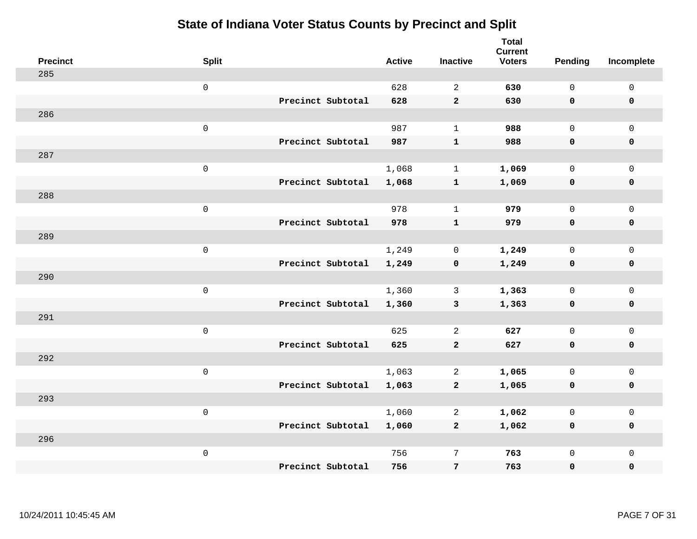| <b>Precinct</b> | <b>Split</b>        |                   | <b>Active</b> | <b>Inactive</b> | <b>Total</b><br><b>Current</b><br><b>Voters</b> | <b>Pending</b> | Incomplete  |
|-----------------|---------------------|-------------------|---------------|-----------------|-------------------------------------------------|----------------|-------------|
| 285             |                     |                   |               |                 |                                                 |                |             |
|                 | $\mathsf 0$         |                   | 628           | $\mathbf{2}$    | 630                                             | $\mathsf{O}$   | $\mathsf 0$ |
|                 |                     | Precinct Subtotal | 628           | $\mathbf 2$     | 630                                             | $\mathbf 0$    | $\mathbf 0$ |
| 286             |                     |                   |               |                 |                                                 |                |             |
|                 | $\mathsf{O}\xspace$ |                   | 987           | $\mathbf{1}$    | 988                                             | $\mathsf{O}$   | $\mathbf 0$ |
|                 |                     | Precinct Subtotal | 987           | ${\bf 1}$       | 988                                             | $\mathbf 0$    | $\pmb{0}$   |
| 287             |                     |                   |               |                 |                                                 |                |             |
|                 | $\mathsf{O}\xspace$ |                   | 1,068         | $\mathbf{1}$    | 1,069                                           | $\mathbf 0$    | $\mathbf 0$ |
|                 |                     | Precinct Subtotal | 1,068         | $\mathbf{1}$    | 1,069                                           | $\mathbf 0$    | $\pmb{0}$   |
| 288             |                     |                   |               |                 |                                                 |                |             |
|                 | $\mathsf 0$         |                   | 978           | $\mathbf{1}$    | 979                                             | $\mathsf{O}$   | $\mathbf 0$ |
|                 |                     | Precinct Subtotal | 978           | ${\bf 1}$       | 979                                             | $\mathbf 0$    | $\pmb{0}$   |
| 289             |                     |                   |               |                 |                                                 |                |             |
|                 | $\mathsf 0$         |                   | 1,249         | $\mathbf 0$     | 1,249                                           | $\mathbf 0$    | $\mathsf 0$ |
|                 |                     | Precinct Subtotal | 1,249         | $\mathbf 0$     | 1,249                                           | $\mathbf 0$    | $\mathbf 0$ |
| 290             |                     |                   |               |                 |                                                 |                |             |
|                 | $\mathbf 0$         |                   | 1,360         | 3               | 1,363                                           | $\mathbf 0$    | $\mathbf 0$ |
|                 |                     | Precinct Subtotal | 1,360         | $\mathbf{3}$    | 1,363                                           | $\mathbf 0$    | $\mathbf 0$ |
| 291             |                     |                   |               |                 |                                                 |                |             |
|                 | $\mathsf 0$         |                   | 625           | 2               | 627                                             | $\mathbf 0$    | $\mathbf 0$ |
|                 |                     | Precinct Subtotal | 625           | $\overline{a}$  | 627                                             | 0              | $\mathbf 0$ |
| 292             |                     |                   |               |                 |                                                 |                |             |
|                 | $\mathbf 0$         |                   | 1,063         | 2               | 1,065                                           | $\mathsf{O}$   | $\mathsf 0$ |
|                 |                     | Precinct Subtotal | 1,063         | $\overline{a}$  | 1,065                                           | 0              | $\mathbf 0$ |
| 293             |                     |                   |               |                 |                                                 |                |             |
|                 | $\mathsf 0$         |                   | 1,060         | 2               | 1,062                                           | $\mathbf 0$    | $\mathsf 0$ |
|                 |                     | Precinct Subtotal | 1,060         | $\overline{a}$  | 1,062                                           | $\mathbf 0$    | $\mathbf 0$ |
| 296             |                     |                   |               |                 |                                                 |                |             |
|                 | $\mathbf 0$         |                   | 756           | $\overline{7}$  | 763                                             | $\mathsf{O}$   | $\mathbf 0$ |
|                 |                     | Precinct Subtotal | 756           | $\bf 7$         | 763                                             | 0              | $\pmb{0}$   |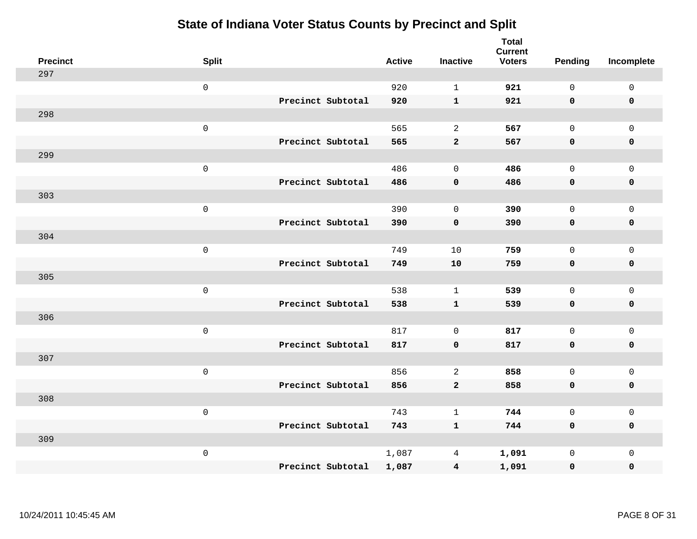| <b>Precinct</b> | <b>Split</b>        |                   | <b>Active</b> | <b>Inactive</b> | <b>Total</b><br><b>Current</b><br><b>Voters</b> | Pending      | Incomplete          |
|-----------------|---------------------|-------------------|---------------|-----------------|-------------------------------------------------|--------------|---------------------|
| 297             |                     |                   |               |                 |                                                 |              |                     |
|                 | $\mathsf 0$         |                   | 920           | $\mathbf{1}$    | 921                                             | $\mathsf{O}$ | $\mathsf 0$         |
|                 |                     | Precinct Subtotal | 920           | $\mathbf{1}$    | 921                                             | $\mathbf 0$  | 0                   |
| 298             |                     |                   |               |                 |                                                 |              |                     |
|                 | $\mathsf 0$         |                   | 565           | $\sqrt{2}$      | 567                                             | $\mathsf{O}$ | $\mathsf{O}\xspace$ |
|                 |                     | Precinct Subtotal | 565           | $\mathbf{2}$    | 567                                             | $\mathbf 0$  | $\pmb{0}$           |
| 299             |                     |                   |               |                 |                                                 |              |                     |
|                 | $\mathsf 0$         |                   | 486           | $\mathbf 0$     | 486                                             | $\mathsf{O}$ | $\mathsf{O}\xspace$ |
|                 |                     | Precinct Subtotal | 486           | $\pmb{0}$       | 486                                             | 0            | $\pmb{0}$           |
| 303             |                     |                   |               |                 |                                                 |              |                     |
|                 | $\mathsf 0$         |                   | 390           | $\mathbf 0$     | 390                                             | $\mathbf 0$  | $\mathsf{O}$        |
|                 |                     | Precinct Subtotal | 390           | $\pmb{0}$       | 390                                             | $\mathbf 0$  | 0                   |
| 304             |                     |                   |               |                 |                                                 |              |                     |
|                 | $\mathsf 0$         |                   | 749           | 10              | 759                                             | $\mathbf 0$  | $\mathsf{O}\xspace$ |
|                 |                     | Precinct Subtotal | 749           | 10              | 759                                             | 0            | $\pmb{0}$           |
| 305             |                     |                   |               |                 |                                                 |              |                     |
|                 | $\mathbf 0$         |                   | 538           | 1               | 539                                             | $\mathbf{0}$ | $\mathsf{O}$        |
|                 |                     | Precinct Subtotal | 538           | ${\bf 1}$       | 539                                             | $\mathbf 0$  | $\pmb{0}$           |
| 306             |                     |                   |               |                 |                                                 |              |                     |
|                 | $\mathbf 0$         |                   | 817           | $\mathbf 0$     | 817                                             | $\mathbf 0$  | $\mathsf{O}\xspace$ |
|                 |                     | Precinct Subtotal | 817           | $\mathbf 0$     | 817                                             | $\mathbf 0$  | 0                   |
| 307             |                     |                   |               |                 |                                                 |              |                     |
|                 | $\mathsf{O}\xspace$ |                   | 856           | $\overline{a}$  | 858                                             | $\mathbf{0}$ | $\mathsf{O}\xspace$ |
|                 |                     | Precinct Subtotal | 856           | $\mathbf{2}$    | 858                                             | $\mathbf 0$  | 0                   |
| 308             |                     |                   |               |                 |                                                 |              |                     |
|                 | $\mathsf 0$         |                   | 743           | $\mathbf{1}$    | 744                                             | $\mathbf{0}$ | $\mathsf{O}\xspace$ |
|                 |                     | Precinct Subtotal | 743           | $\mathbf{1}$    | 744                                             | 0            | 0                   |
| 309             |                     |                   |               |                 |                                                 |              |                     |
|                 | $\mathbf 0$         |                   | 1,087         | 4               | 1,091                                           | $\mathsf{O}$ | $\mathsf{O}$        |
|                 |                     | Precinct Subtotal | 1,087         | $\overline{4}$  | 1,091                                           | 0            | 0                   |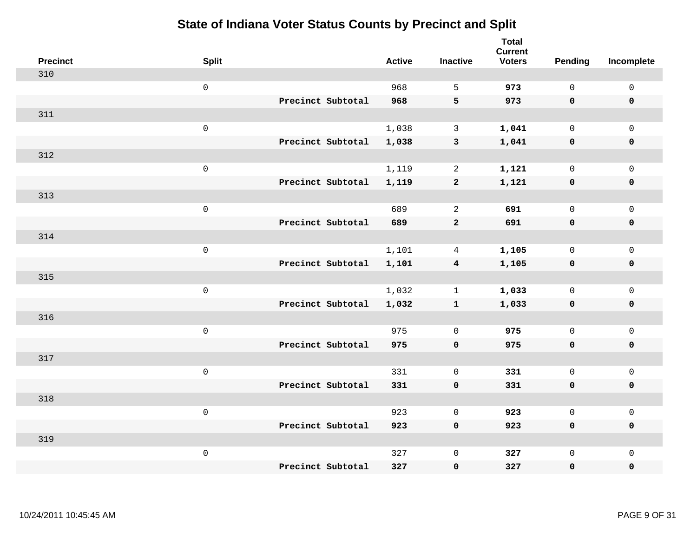| <b>Precinct</b> | <b>Split</b>        | <b>Active</b> | <b>Inactive</b>         | <b>Total</b><br><b>Current</b><br><b>Voters</b> | <b>Pending</b> | Incomplete          |
|-----------------|---------------------|---------------|-------------------------|-------------------------------------------------|----------------|---------------------|
| 310             |                     |               |                         |                                                 |                |                     |
|                 | $\mathsf{O}\xspace$ | 968           | 5                       | 973                                             | $\mathbf 0$    | $\mathsf{O}\xspace$ |
|                 | Precinct Subtotal   | 968           | 5                       | 973                                             | $\mathbf 0$    | $\mathbf 0$         |
| 311             |                     |               |                         |                                                 |                |                     |
|                 | $\mathsf 0$         | 1,038         | $\mathbf{3}$            | 1,041                                           | $\mathbf 0$    | $\mathsf{O}$        |
|                 | Precinct Subtotal   | 1,038         | $\mathbf{3}$            | 1,041                                           | $\mathbf 0$    | 0                   |
| 312             |                     |               |                         |                                                 |                |                     |
|                 | $\mathsf 0$         | 1,119         | $\overline{2}$          | 1,121                                           | $\mathbf 0$    | $\mathsf{O}\xspace$ |
|                 | Precinct Subtotal   | 1,119         | $\overline{a}$          | 1,121                                           | $\mathbf 0$    | $\pmb{0}$           |
| 313             |                     |               |                         |                                                 |                |                     |
|                 | $\mathsf{O}\xspace$ | 689           | $\overline{2}$          | 691                                             | $\mathbf 0$    | $\mathsf{O}$        |
|                 | Precinct Subtotal   | 689           | $\mathbf{2}$            | 691                                             | $\mathbf 0$    | 0                   |
| 314             |                     |               |                         |                                                 |                |                     |
|                 | $\mathsf 0$         | 1,101         | 4                       | 1,105                                           | $\mathbf 0$    | $\mathsf{O}$        |
|                 | Precinct Subtotal   | 1,101         | $\overline{\mathbf{4}}$ | 1,105                                           | 0              | 0                   |
| 315             |                     |               |                         |                                                 |                |                     |
|                 | $\mathsf{O}\xspace$ | 1,032         | $\mathbf 1$             | 1,033                                           | $\mathbf 0$    | $\mathsf{O}\xspace$ |
|                 | Precinct Subtotal   | 1,032         | ${\bf 1}$               | 1,033                                           | $\mathbf 0$    | 0                   |
| 316             |                     |               |                         |                                                 |                |                     |
|                 | $\mathsf 0$         | 975           | $\mathbf 0$             | 975                                             | $\mathbf 0$    | $\mathsf{O}$        |
|                 | Precinct Subtotal   | 975           | $\mathbf 0$             | 975                                             | $\mathbf 0$    | 0                   |
| 317             |                     |               |                         |                                                 |                |                     |
|                 | $\mathsf 0$         | 331           | $\mathbf 0$             | 331                                             | $\mathbf 0$    | $\mathsf{O}\xspace$ |
|                 | Precinct Subtotal   | 331           | $\pmb{0}$               | 331                                             | $\mathbf 0$    | 0                   |
| 318             |                     |               |                         |                                                 |                |                     |
|                 | $\mathsf 0$         | 923           | $\mathbf 0$             | 923                                             | $\mathbf{0}$   | $\mathsf{O}$        |
|                 | Precinct Subtotal   | 923           | $\mathbf 0$             | 923                                             | 0              | 0                   |
| 319             |                     |               |                         |                                                 |                |                     |
|                 | $\mathsf 0$         | 327           | $\mathsf 0$             | 327                                             | $\mathsf{O}$   | $\mathsf{O}$        |
|                 | Precinct Subtotal   | 327           | 0                       | 327                                             | 0              | 0                   |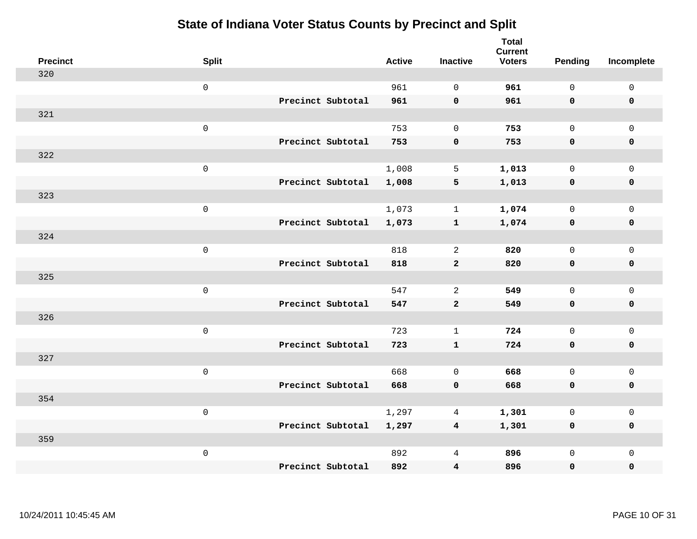| <b>Precinct</b> | <b>Split</b> |                   | <b>Active</b> | <b>Inactive</b>         | <b>Total</b><br><b>Current</b><br><b>Voters</b> | <b>Pending</b> | Incomplete          |
|-----------------|--------------|-------------------|---------------|-------------------------|-------------------------------------------------|----------------|---------------------|
| 320             |              |                   |               |                         |                                                 |                |                     |
|                 | $\mathsf 0$  |                   | 961           | $\mathbf 0$             | 961                                             | $\mathsf{O}$   | $\mathsf 0$         |
|                 |              | Precinct Subtotal | 961           | $\mathbf 0$             | 961                                             | $\mathbf 0$    | $\mathbf 0$         |
| 321             |              |                   |               |                         |                                                 |                |                     |
|                 | $\mathsf 0$  |                   | 753           | $\mathbf 0$             | 753                                             | $\mathbf 0$    | $\mathbf 0$         |
|                 |              | Precinct Subtotal | 753           | $\pmb{\mathsf{O}}$      | 753                                             | $\mathbf 0$    | $\pmb{0}$           |
| 322             |              |                   |               |                         |                                                 |                |                     |
|                 | $\mathsf 0$  |                   | 1,008         | 5                       | 1,013                                           | $\mathsf{O}$   | $\mathsf 0$         |
|                 |              | Precinct Subtotal | 1,008         | $\overline{\mathbf{5}}$ | 1,013                                           | 0              | $\mathbf 0$         |
| 323             |              |                   |               |                         |                                                 |                |                     |
|                 | $\mathsf 0$  |                   | 1,073         | $\mathbf{1}$            | 1,074                                           | $\mathbf 0$    | $\mathsf 0$         |
|                 |              | Precinct Subtotal | 1,073         | ${\bf 1}$               | 1,074                                           | $\mathbf 0$    | $\pmb{0}$           |
| 324             |              |                   |               |                         |                                                 |                |                     |
|                 | $\mathsf 0$  |                   | 818           | 2                       | 820                                             | $\Omega$       | $\mathbf{0}$        |
|                 |              | Precinct Subtotal | 818           | $\mathbf{2}$            | 820                                             | 0              | $\mathbf 0$         |
| 325             |              |                   |               |                         |                                                 |                |                     |
|                 | $\mathsf 0$  |                   | 547           | $\overline{2}$          | 549                                             | $\mathbf 0$    | $\mathsf{O}\xspace$ |
|                 |              | Precinct Subtotal | 547           | $\mathbf{2}$            | 549                                             | $\mathbf 0$    | $\mathbf 0$         |
| 326             |              |                   |               |                         |                                                 |                |                     |
|                 | $\mathsf 0$  |                   | 723           | $\mathbf{1}$            | 724                                             | $\mathbf 0$    | $\mathbf 0$         |
|                 |              | Precinct Subtotal | 723           | $\mathbf{1}$            | 724                                             | 0              | $\mathbf 0$         |
| 327             |              |                   |               |                         |                                                 |                |                     |
|                 | $\mathsf 0$  |                   | 668           | $\mathbf 0$             | 668                                             | $\mathsf{O}$   | $\mathbf 0$         |
|                 |              | Precinct Subtotal | 668           | $\pmb{0}$               | 668                                             | 0              | $\pmb{0}$           |
| 354             |              |                   |               |                         |                                                 |                |                     |
|                 | $\mathbf 0$  |                   | 1,297         | 4                       | 1,301                                           | $\mathbf 0$    | $\mathsf{O}\xspace$ |
|                 |              | Precinct Subtotal | 1,297         | $\overline{4}$          | 1,301                                           | 0              | $\pmb{0}$           |
| 359             |              |                   |               |                         |                                                 |                |                     |
|                 | $\mathbf 0$  |                   | 892           | 4                       | 896                                             | $\mathsf{O}$   | $\mathbf 0$         |
|                 |              | Precinct Subtotal | 892           | 4                       | 896                                             | 0              | 0                   |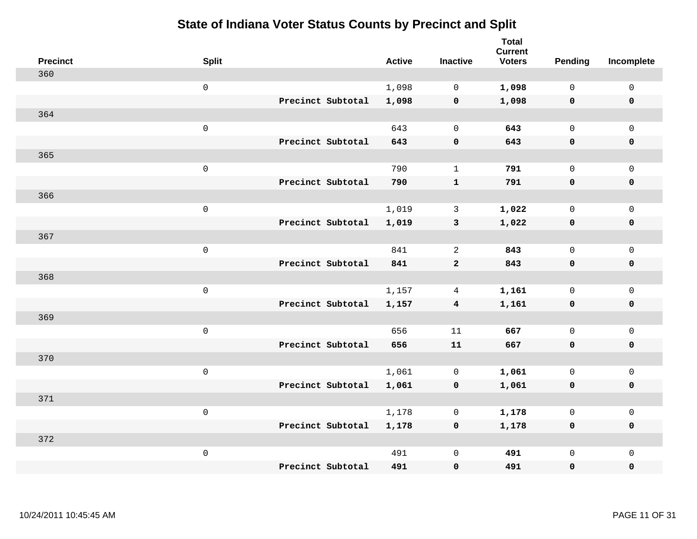| <b>Precinct</b> | <b>Split</b>        |                   | <b>Active</b> | <b>Inactive</b>         | <b>Total</b><br><b>Current</b><br><b>Voters</b> | Pending      | Incomplete   |
|-----------------|---------------------|-------------------|---------------|-------------------------|-------------------------------------------------|--------------|--------------|
| 360             |                     |                   |               |                         |                                                 |              |              |
|                 | $\mathsf{O}\xspace$ |                   | 1,098         | 0                       | 1,098                                           | $\mathsf{O}$ | $\mathbf 0$  |
|                 |                     | Precinct Subtotal | 1,098         | 0                       | 1,098                                           | $\mathbf 0$  | $\mathbf 0$  |
| 364             |                     |                   |               |                         |                                                 |              |              |
|                 | $\mathsf 0$         |                   | 643           | $\mathbf 0$             | 643                                             | $\mathbf{0}$ | $\mathbf 0$  |
|                 |                     | Precinct Subtotal | 643           | $\pmb{0}$               | 643                                             | $\mathbf 0$  | $\mathbf 0$  |
| 365             |                     |                   |               |                         |                                                 |              |              |
|                 | $\mathsf 0$         |                   | 790           | $\mathbf{1}$            | 791                                             | $\mathbf{0}$ | $\mathbf 0$  |
|                 |                     | Precinct Subtotal | 790           | $\mathbf{1}$            | 791                                             | $\mathbf 0$  | $\mathbf 0$  |
| 366             |                     |                   |               |                         |                                                 |              |              |
|                 | $\mathsf 0$         |                   | 1,019         | $\mathbf{3}$            | 1,022                                           | $\mathsf{O}$ | $\mathsf{O}$ |
|                 |                     | Precinct Subtotal | 1,019         | $\mathbf{3}$            | 1,022                                           | $\mathbf 0$  | $\pmb{0}$    |
| 367             |                     |                   |               |                         |                                                 |              |              |
|                 | $\mathsf 0$         |                   | 841           | 2                       | 843                                             | $\mathbf{0}$ | $\mathbf 0$  |
|                 |                     | Precinct Subtotal | 841           | $\overline{a}$          | 843                                             | $\mathbf 0$  | $\mathbf 0$  |
| 368             |                     |                   |               |                         |                                                 |              |              |
|                 | $\mathsf{O}\xspace$ |                   | 1,157         | 4                       | 1,161                                           | $\mathbf 0$  | $\mathbf 0$  |
|                 |                     | Precinct Subtotal | 1,157         | $\overline{\mathbf{4}}$ | 1,161                                           | $\mathbf 0$  | $\mathbf 0$  |
| 369             |                     |                   |               |                         |                                                 |              |              |
|                 | $\mathsf 0$         |                   | 656           | 11                      | 667                                             | $\mathsf{O}$ | $\mathsf{O}$ |
|                 |                     | Precinct Subtotal | 656           | 11                      | 667                                             | $\mathbf 0$  | $\mathbf 0$  |
| 370             |                     |                   |               |                         |                                                 |              |              |
|                 | $\mathsf 0$         |                   | 1,061         | 0                       | 1,061                                           | $\mathsf{O}$ | $\mathsf{O}$ |
|                 |                     | Precinct Subtotal | 1,061         | 0                       | 1,061                                           | 0            | $\mathbf 0$  |
| 371             |                     |                   |               |                         |                                                 |              |              |
|                 | $\mathsf 0$         |                   | 1,178         | 0                       | 1,178                                           | 0            | $\mathsf{O}$ |
|                 |                     | Precinct Subtotal | 1,178         | 0                       | 1,178                                           | $\mathbf 0$  | $\mathbf 0$  |
| 372             |                     |                   |               |                         |                                                 |              |              |
|                 | $\mathsf 0$         |                   | 491           | $\mathbf 0$             | 491                                             | 0            | $\mathsf{O}$ |
|                 |                     | Precinct Subtotal | 491           | $\mathbf 0$             | 491                                             | 0            | $\mathbf 0$  |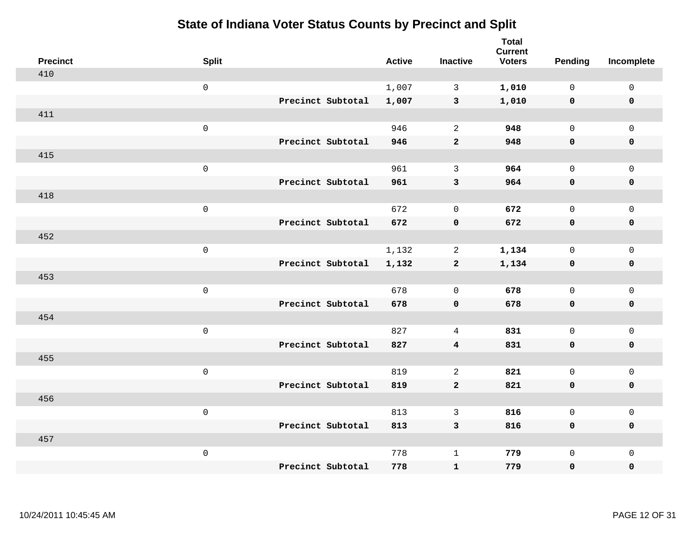| <b>Precinct</b> | <b>Split</b>        | <b>Active</b> | <b>Inactive</b>         | <b>Total</b><br><b>Current</b><br><b>Voters</b> | Pending      | Incomplete          |
|-----------------|---------------------|---------------|-------------------------|-------------------------------------------------|--------------|---------------------|
| 410             |                     |               |                         |                                                 |              |                     |
|                 | $\mathsf{O}\xspace$ | 1,007         | $\mathsf{3}$            | 1,010                                           | $\mathsf{O}$ | $\mathsf 0$         |
|                 | Precinct Subtotal   | 1,007         | $\mathbf{3}$            | 1,010                                           | $\mathbf 0$  | $\mathbf 0$         |
| 411             |                     |               |                         |                                                 |              |                     |
|                 | $\mathbf 0$         | 946           | $\overline{a}$          | 948                                             | $\mathbf 0$  | $\mathbf 0$         |
|                 | Precinct Subtotal   | 946           | $\mathbf{2}$            | 948                                             | $\mathbf 0$  | $\pmb{0}$           |
| 415             |                     |               |                         |                                                 |              |                     |
|                 | $\mathsf 0$         | 961           | 3                       | 964                                             | $\Omega$     | $\mathbf 0$         |
|                 | Precinct Subtotal   | 961           | $\mathbf{3}$            | 964                                             | $\mathbf 0$  | $\mathbf 0$         |
| 418             |                     |               |                         |                                                 |              |                     |
|                 | $\mathbf 0$         | 672           | $\mathbf 0$             | 672                                             | $\mathbf 0$  | $\mathbf 0$         |
|                 | Precinct Subtotal   | 672           | $\mathbf 0$             | 672                                             | $\mathbf 0$  | $\mathbf 0$         |
| 452             |                     |               |                         |                                                 |              |                     |
|                 | $\mathsf 0$         | 1,132         | 2                       | 1,134                                           | $\mathbf 0$  | $\mathsf{O}\xspace$ |
|                 | Precinct Subtotal   | 1,132         | $\overline{\mathbf{2}}$ | 1,134                                           | 0            | $\mathbf 0$         |
| 453             |                     |               |                         |                                                 |              |                     |
|                 | $\mathbf 0$         | 678           | $\mathsf{O}\xspace$     | 678                                             | $\mathsf{O}$ | $\mathbf 0$         |
|                 | Precinct Subtotal   | 678           | $\pmb{0}$               | 678                                             | $\mathbf 0$  | $\mathbf 0$         |
| 454             |                     |               |                         |                                                 |              |                     |
|                 | $\mathbf 0$         | 827           | 4                       | 831                                             | $\mathsf{O}$ | $\mathbf 0$         |
|                 | Precinct Subtotal   | 827           | $\overline{4}$          | 831                                             | $\mathbf 0$  | 0                   |
| 455             |                     |               |                         |                                                 |              |                     |
|                 | $\mathbf 0$         | 819           | 2                       | 821                                             | $\mathbf 0$  | $\mathsf{O}\xspace$ |
|                 | Precinct Subtotal   | 819           | $\mathbf 2$             | 821                                             | $\mathbf 0$  | $\pmb{0}$           |
| 456             |                     |               |                         |                                                 |              |                     |
|                 | $\mathbf 0$         | 813           | 3                       | 816                                             | $\mathbf 0$  | $\mathbf 0$         |
|                 | Precinct Subtotal   | 813           | $\mathbf{3}$            | 816                                             | $\mathbf 0$  | $\mathbf 0$         |
| 457             |                     |               |                         |                                                 |              |                     |
|                 | $\mathbf 0$         | 778           | $\mathbf{1}$            | 779                                             | $\mathsf{O}$ | $\mathbf 0$         |
|                 | Precinct Subtotal   | 778           | ${\bf 1}$               | 779                                             | 0            | 0                   |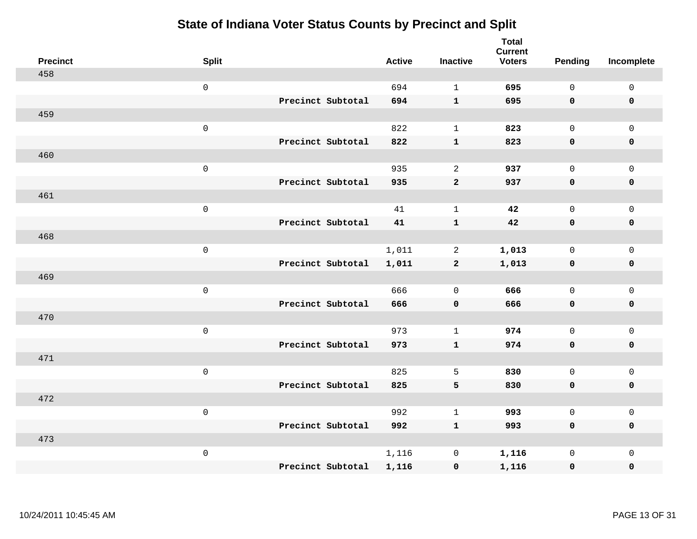| <b>Precinct</b> | <b>Split</b> |                   | <b>Active</b> | <b>Inactive</b> | <b>Total</b><br><b>Current</b><br><b>Voters</b> | Pending      | Incomplete          |
|-----------------|--------------|-------------------|---------------|-----------------|-------------------------------------------------|--------------|---------------------|
| 458             |              |                   |               |                 |                                                 |              |                     |
|                 | $\mathsf 0$  |                   | 694           | $\mathbf{1}$    | 695                                             | $\mathbf{0}$ | $\mathsf{O}\xspace$ |
|                 |              | Precinct Subtotal | 694           | $\mathbf{1}$    | 695                                             | $\mathbf 0$  | $\mathbf 0$         |
| 459             |              |                   |               |                 |                                                 |              |                     |
|                 | $\mathsf 0$  |                   | 822           | $\mathbf{1}$    | 823                                             | $\mathbf 0$  | $\mathsf{O}$        |
|                 |              | Precinct Subtotal | 822           | ${\bf 1}$       | 823                                             | $\mathbf 0$  | 0                   |
| 460             |              |                   |               |                 |                                                 |              |                     |
|                 | $\mathsf 0$  |                   | 935           | 2               | 937                                             | $\mathbf 0$  | $\mathsf{O}$        |
|                 |              | Precinct Subtotal | 935           | $\mathbf{2}$    | 937                                             | 0            | $\pmb{0}$           |
| 461             |              |                   |               |                 |                                                 |              |                     |
|                 | $\mathsf 0$  |                   | 41            | $\mathbf{1}$    | 42                                              | $\mathbf 0$  | $\mathsf{O}\xspace$ |
|                 |              | Precinct Subtotal | 41            | ${\bf 1}$       | 42                                              | $\mathbf 0$  | $\pmb{0}$           |
| 468             |              |                   |               |                 |                                                 |              |                     |
|                 | $\mathsf 0$  |                   | 1,011         | $\overline{a}$  | 1,013                                           | $\mathbf{0}$ | $\mathsf 0$         |
|                 |              | Precinct Subtotal | 1,011         | $\overline{2}$  | 1,013                                           | 0            | $\mathbf 0$         |
| 469             |              |                   |               |                 |                                                 |              |                     |
|                 | $\mathbf 0$  |                   | 666           | $\mathbf 0$     | 666                                             | $\mathbf 0$  | $\mathsf{O}\xspace$ |
|                 |              | Precinct Subtotal | 666           | $\mathbf 0$     | 666                                             | $\mathbf 0$  | 0                   |
| 470             |              |                   |               |                 |                                                 |              |                     |
|                 | $\mathbf 0$  |                   | 973           | $\mathbf{1}$    | 974                                             | $\mathbf 0$  | $\mathsf{O}\xspace$ |
|                 |              | Precinct Subtotal | 973           | $\mathbf{1}$    | 974                                             | 0            | 0                   |
| 471             |              |                   |               |                 |                                                 |              |                     |
|                 | $\mathbf 0$  |                   | 825           | 5               | 830                                             | $\mathbf 0$  | $\mathsf{O}\xspace$ |
|                 |              | Precinct Subtotal | 825           | 5               | 830                                             | 0            | 0                   |
| 472             |              |                   |               |                 |                                                 |              |                     |
|                 | $\mathsf 0$  |                   | 992           | $\mathbf{1}$    | 993                                             | $\mathbf 0$  | $\mathsf 0$         |
|                 |              | Precinct Subtotal | 992           | $\mathbf{1}$    | 993                                             | $\mathbf 0$  | 0                   |
| 473             |              |                   |               |                 |                                                 |              |                     |
|                 | $\mathbf 0$  |                   | 1,116         | $\mathbf 0$     | 1,116                                           | $\mathsf{O}$ | $\mathsf{O}$        |
|                 |              | Precinct Subtotal | 1,116         | $\pmb{0}$       | 1,116                                           | 0            | 0                   |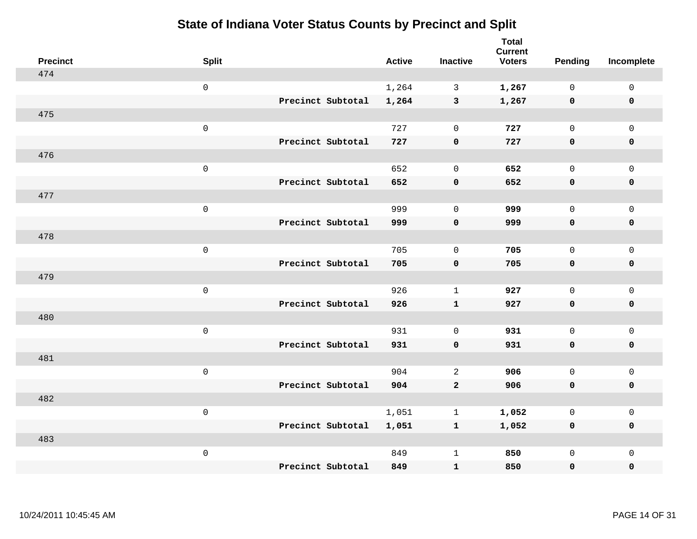| <b>Precinct</b> | <b>Split</b> |                   | <b>Active</b> | <b>Inactive</b> | <b>Total</b><br><b>Current</b><br><b>Voters</b> | <b>Pending</b> | Incomplete          |
|-----------------|--------------|-------------------|---------------|-----------------|-------------------------------------------------|----------------|---------------------|
| 474             |              |                   |               |                 |                                                 |                |                     |
|                 | $\mathsf{O}$ |                   | 1,264         | $\mathbf{3}$    | 1,267                                           | $\mathbf 0$    | $\mathsf 0$         |
|                 |              | Precinct Subtotal | 1,264         | $\mathbf{3}$    | 1,267                                           | $\mathbf 0$    | $\mathbf 0$         |
| 475             |              |                   |               |                 |                                                 |                |                     |
|                 | $\mathsf{O}$ |                   | 727           | $\mathbf 0$     | 727                                             | $\mathbf{0}$   | $\mathsf{O}$        |
|                 |              | Precinct Subtotal | 727           | $\pmb{0}$       | 727                                             | $\mathbf 0$    | 0                   |
| 476             |              |                   |               |                 |                                                 |                |                     |
|                 | $\mathsf 0$  |                   | 652           | $\mathbf 0$     | 652                                             | $\mathbf 0$    | $\mathsf{O}\xspace$ |
|                 |              | Precinct Subtotal | 652           | $\mathbf 0$     | 652                                             | 0              | $\mathbf 0$         |
| 477             |              |                   |               |                 |                                                 |                |                     |
|                 | $\mathbf 0$  |                   | 999           | $\mathbf 0$     | 999                                             | $\mathbf 0$    | $\mathsf{O}$        |
|                 |              | Precinct Subtotal | 999           | $\pmb{0}$       | 999                                             | 0              | 0                   |
| 478             |              |                   |               |                 |                                                 |                |                     |
|                 | $\mathbf 0$  |                   | 705           | $\mathbf 0$     | 705                                             | $\mathbf 0$    | $\mathsf{O}\xspace$ |
|                 |              | Precinct Subtotal | 705           | $\mathbf 0$     | 705                                             | 0              | 0                   |
| 479             |              |                   |               |                 |                                                 |                |                     |
|                 | $\mathbf 0$  |                   | 926           | $\mathbf 1$     | 927                                             | $\mathbf 0$    | $\mathsf{O}$        |
|                 |              | Precinct Subtotal | 926           | $\mathbf{1}$    | 927                                             | 0              | 0                   |
| 480             |              |                   |               |                 |                                                 |                |                     |
|                 | $\mathbf 0$  |                   | 931           | $\mathbf 0$     | 931                                             | $\mathsf{O}$   | $\mathsf{O}$        |
|                 |              | Precinct Subtotal | 931           | $\mathbf 0$     | 931                                             | 0              | 0                   |
| 481             |              |                   |               |                 |                                                 |                |                     |
|                 | $\mathbf 0$  |                   | 904           | 2               | 906                                             | $\mathbf 0$    | $\mathsf{O}\xspace$ |
|                 |              | Precinct Subtotal | 904           | $\mathbf{2}$    | 906                                             | 0              | 0                   |
| 482             |              |                   |               |                 |                                                 |                |                     |
|                 | $\mathbf 0$  |                   | 1,051         | $\mathbf 1$     | 1,052                                           | $\mathbf 0$    | $\mathsf{O}$        |
|                 |              | Precinct Subtotal | 1,051         | $\mathbf{1}$    | 1,052                                           | 0              | 0                   |
| 483             |              |                   |               |                 |                                                 |                |                     |
|                 | $\mathbf 0$  |                   | 849           | $\mathbf{1}$    | 850                                             | $\mathsf{O}$   | $\mathsf{O}$        |
|                 |              | Precinct Subtotal | 849           | $\mathbf{1}$    | 850                                             | 0              | $\mathbf 0$         |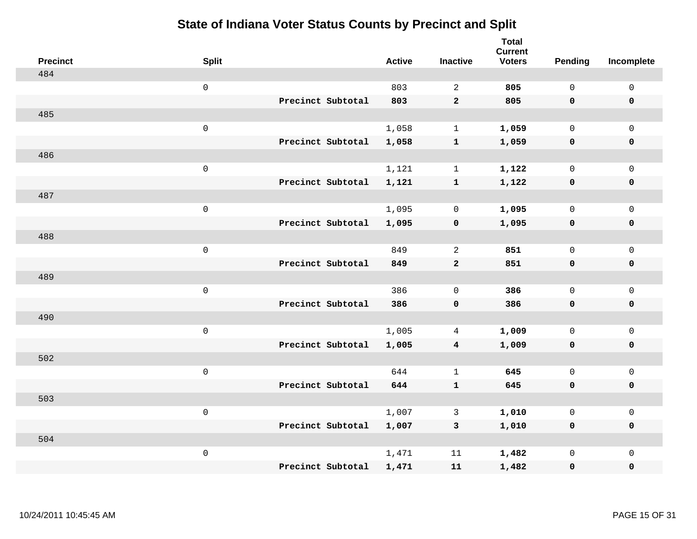| <b>Precinct</b> | <b>Split</b>        | <b>Active</b> | <b>Inactive</b>         | <b>Total</b><br><b>Current</b><br><b>Voters</b> | <b>Pending</b> | Incomplete          |
|-----------------|---------------------|---------------|-------------------------|-------------------------------------------------|----------------|---------------------|
| 484             |                     |               |                         |                                                 |                |                     |
|                 | $\mathsf{O}\xspace$ | 803           | 2                       | 805                                             | $\mathsf{O}$   | $\mathsf 0$         |
|                 | Precinct Subtotal   | 803           | $\mathbf{2}$            | 805                                             | $\mathbf 0$    | $\mathbf 0$         |
| 485             |                     |               |                         |                                                 |                |                     |
|                 | $\mathbf 0$         | 1,058         | $\mathbf{1}$            | 1,059                                           | $\mathbf 0$    | $\mathbf 0$         |
|                 | Precinct Subtotal   | 1,058         | $\mathbf{1}$            | 1,059                                           | $\mathbf 0$    | $\pmb{0}$           |
| 486             |                     |               |                         |                                                 |                |                     |
|                 | $\mathsf 0$         | 1,121         | $\mathbf{1}$            | 1,122                                           | $\mathbf 0$    | $\mathbf 0$         |
|                 | Precinct Subtotal   | 1,121         | $\mathbf{1}$            | 1,122                                           | $\mathbf 0$    | $\mathbf 0$         |
| 487             |                     |               |                         |                                                 |                |                     |
|                 | $\mathbf 0$         | 1,095         | 0                       | 1,095                                           | $\mathsf{O}$   | $\mathbf 0$         |
|                 | Precinct Subtotal   | 1,095         | $\mathbf 0$             | 1,095                                           | $\mathbf 0$    | $\mathbf 0$         |
| 488             |                     |               |                         |                                                 |                |                     |
|                 | $\mathbf 0$         | 849           | 2                       | 851                                             | $\mathbf 0$    | $\mathsf{O}\xspace$ |
|                 | Precinct Subtotal   | 849           | $\mathbf{2}$            | 851                                             | $\mathbf 0$    | $\mathbf 0$         |
| 489             |                     |               |                         |                                                 |                |                     |
|                 | $\mathbf 0$         | 386           | 0                       | 386                                             | $\mathbf 0$    | $\mathsf{O}\xspace$ |
|                 | Precinct Subtotal   | 386           | $\mathbf 0$             | 386                                             | $\mathbf 0$    | $\mathbf 0$         |
| 490             |                     |               |                         |                                                 |                |                     |
|                 | $\mathbf 0$         | 1,005         | 4                       | 1,009                                           | $\mathsf{O}$   | $\mathbf 0$         |
|                 | Precinct Subtotal   | 1,005         | $\overline{\mathbf{4}}$ | 1,009                                           | 0              | 0                   |
| 502             |                     |               |                         |                                                 |                |                     |
|                 | $\mathbf 0$         | 644           | $\mathbf{1}$            | 645                                             | $\mathbf 0$    | $\mathsf{O}\xspace$ |
|                 | Precinct Subtotal   | 644           | ${\bf 1}$               | 645                                             | $\mathbf 0$    | $\pmb{0}$           |
| 503             |                     |               |                         |                                                 |                |                     |
|                 | $\mathbf 0$         | 1,007         | 3                       | 1,010                                           | $\mathbf 0$    | $\mathbf 0$         |
|                 | Precinct Subtotal   | 1,007         | $\mathbf{3}$            | 1,010                                           | $\mathbf 0$    | $\mathbf 0$         |
| 504             |                     |               |                         |                                                 |                |                     |
|                 | $\mathbf 0$         | 1,471         | 11                      | 1,482                                           | $\mathsf{O}$   | $\mathbf 0$         |
|                 | Precinct Subtotal   | 1,471         | 11                      | 1,482                                           | 0              | 0                   |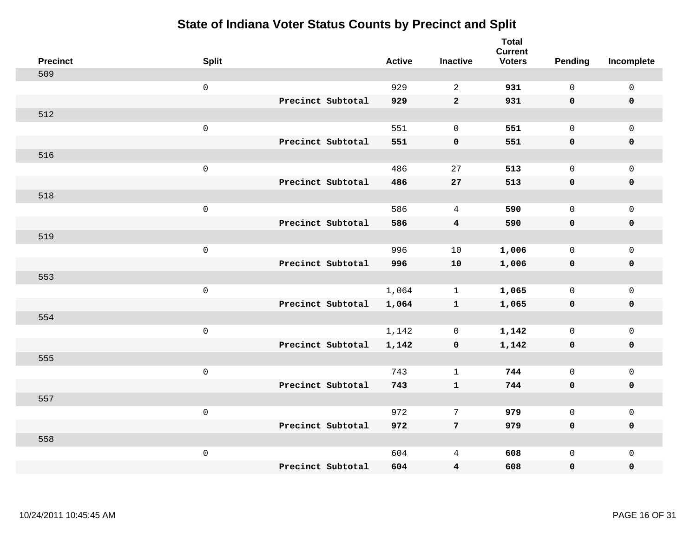| <b>Precinct</b> | <b>Split</b> |                   | <b>Active</b> | <b>Inactive</b> | <b>Total</b><br><b>Current</b><br><b>Voters</b> | <b>Pending</b> | Incomplete          |
|-----------------|--------------|-------------------|---------------|-----------------|-------------------------------------------------|----------------|---------------------|
| 509             |              |                   |               |                 |                                                 |                |                     |
|                 | $\mathsf 0$  |                   | 929           | 2               | 931                                             | $\mathbf 0$    | $\mathbf 0$         |
|                 |              | Precinct Subtotal | 929           | $\overline{2}$  | 931                                             | $\mathbf 0$    | $\mathbf 0$         |
| 512             |              |                   |               |                 |                                                 |                |                     |
|                 | $\mathsf 0$  |                   | 551           | $\mathbf 0$     | 551                                             | $\mathsf{O}$   | $\mathbf 0$         |
|                 |              | Precinct Subtotal | 551           | $\pmb{0}$       | 551                                             | $\mathbf 0$    | $\pmb{0}$           |
| 516             |              |                   |               |                 |                                                 |                |                     |
|                 | $\mathsf 0$  |                   | 486           | 27              | 513                                             | $\mathbf 0$    | $\mathbf 0$         |
|                 |              | Precinct Subtotal | 486           | 27              | 513                                             | 0              | $\mathbf 0$         |
| 518             |              |                   |               |                 |                                                 |                |                     |
|                 | $\mathsf 0$  |                   | 586           | $\overline{4}$  | 590                                             | $\mathbf 0$    | $\mathbf 0$         |
|                 |              | Precinct Subtotal | 586           | $\overline{4}$  | 590                                             | $\mathbf 0$    | $\pmb{0}$           |
| 519             |              |                   |               |                 |                                                 |                |                     |
|                 | $\mathsf 0$  |                   | 996           | 10              | 1,006                                           | $\mathbf 0$    | $\mathbf{0}$        |
|                 |              | Precinct Subtotal | 996           | 10              | 1,006                                           | $\mathbf 0$    | $\mathbf 0$         |
| 553             |              |                   |               |                 |                                                 |                |                     |
|                 | $\mathsf 0$  |                   | 1,064         | $\mathbf{1}$    | 1,065                                           | $\mathsf{O}$   | $\mathsf{O}\xspace$ |
|                 |              | Precinct Subtotal | 1,064         | $\mathbf{1}$    | 1,065                                           | 0              | $\mathbf 0$         |
| 554             |              |                   |               |                 |                                                 |                |                     |
|                 | $\mathsf 0$  |                   | 1,142         | $\mathbf 0$     | 1,142                                           | $\mathbf 0$    | $\mathsf{O}\xspace$ |
|                 |              | Precinct Subtotal | 1,142         | $\mathbf 0$     | 1,142                                           | 0              | $\mathbf 0$         |
| 555             |              |                   |               |                 |                                                 |                |                     |
|                 | $\mathsf 0$  |                   | 743           | $\mathbf{1}$    | 744                                             | $\mathbf 0$    | $\mathsf{O}\xspace$ |
|                 |              | Precinct Subtotal | 743           | $\mathbf{1}$    | 744                                             | $\mathbf 0$    | $\pmb{0}$           |
| 557             |              |                   |               |                 |                                                 |                |                     |
|                 | $\mathbf 0$  |                   | 972           | 7               | 979                                             | $\mathsf{O}$   | $\mathsf 0$         |
|                 |              | Precinct Subtotal | 972           | $7\phantom{.0}$ | 979                                             | $\mathbf 0$    | $\mathbf 0$         |
| 558             |              |                   |               |                 |                                                 |                |                     |
|                 | $\mathbf 0$  |                   | 604           | 4               | 608                                             | $\mathsf{O}$   | $\mathbf 0$         |
|                 |              | Precinct Subtotal | 604           | 4               | 608                                             | 0              | $\pmb{0}$           |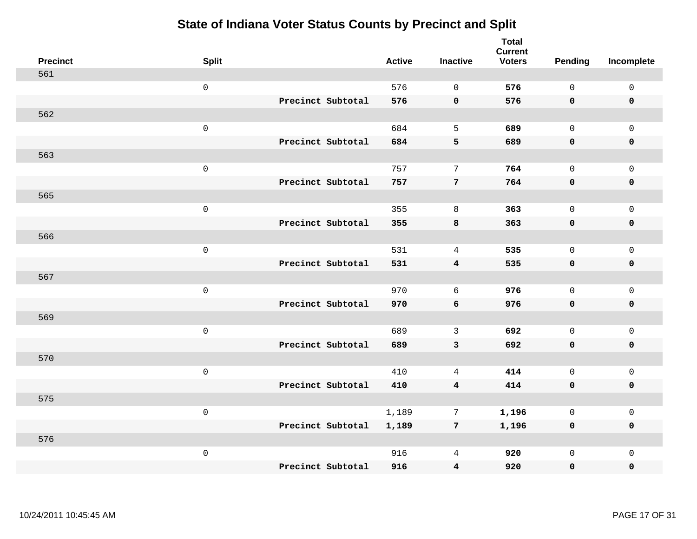| <b>Precinct</b> | <b>Split</b>        |                   | <b>Active</b> | <b>Inactive</b>         | <b>Total</b><br><b>Current</b><br><b>Voters</b> | Pending      | Incomplete          |
|-----------------|---------------------|-------------------|---------------|-------------------------|-------------------------------------------------|--------------|---------------------|
| 561             |                     |                   |               |                         |                                                 |              |                     |
|                 | $\mathsf{O}\xspace$ |                   | 576           | $\Omega$                | 576                                             | $\mathbf{0}$ | $\mathsf{O}\xspace$ |
|                 |                     | Precinct Subtotal | 576           | $\pmb{0}$               | 576                                             | $\mathbf 0$  | $\mathbf 0$         |
| 562             |                     |                   |               |                         |                                                 |              |                     |
|                 | $\mathsf 0$         |                   | 684           | 5                       | 689                                             | $\mathbf{0}$ | $\mathsf{O}$        |
|                 |                     | Precinct Subtotal | 684           | 5                       | 689                                             | $\mathbf 0$  | 0                   |
| 563             |                     |                   |               |                         |                                                 |              |                     |
|                 | $\mathsf 0$         |                   | 757           | 7                       | 764                                             | $\mathbf 0$  | $\mathsf{O}$        |
|                 |                     | Precinct Subtotal | 757           | 7                       | 764                                             | 0            | $\pmb{0}$           |
| 565             |                     |                   |               |                         |                                                 |              |                     |
|                 | $\mathsf 0$         |                   | 355           | $\,8\,$                 | 363                                             | $\mathbf{0}$ | $\mathsf{O}$        |
|                 |                     | Precinct Subtotal | 355           | $\bf8$                  | 363                                             | $\mathbf 0$  | $\pmb{0}$           |
| 566             |                     |                   |               |                         |                                                 |              |                     |
|                 | $\mathsf 0$         |                   | 531           | $\overline{4}$          | 535                                             | $\mathbf 0$  | $\mathbf 0$         |
|                 |                     | Precinct Subtotal | 531           | $\overline{4}$          | 535                                             | 0            | $\mathbf 0$         |
| 567             |                     |                   |               |                         |                                                 |              |                     |
|                 | $\mathsf{O}\xspace$ |                   | 970           | 6                       | 976                                             | $\mathbf 0$  | $\mathsf{O}$        |
|                 |                     | Precinct Subtotal | 970           | 6                       | 976                                             | $\mathbf 0$  | 0                   |
| 569             |                     |                   |               |                         |                                                 |              |                     |
|                 | $\mathsf 0$         |                   | 689           | $\mathbf{3}$            | 692                                             | $\mathbf 0$  | $\mathsf{O}\xspace$ |
|                 |                     | Precinct Subtotal | 689           | 3                       | 692                                             | 0            | 0                   |
| 570             |                     |                   |               |                         |                                                 |              |                     |
|                 | $\mathsf{O}\xspace$ |                   | 410           | 4                       | 414                                             | $\mathbf 0$  | $\mathsf{O}\xspace$ |
|                 |                     | Precinct Subtotal | 410           | $\overline{4}$          | 414                                             | 0            | 0                   |
| 575             |                     |                   |               |                         |                                                 |              |                     |
|                 | $\mathsf 0$         |                   | 1,189         | 7                       | 1,196                                           | $\mathbf 0$  | $\mathsf{O}$        |
|                 |                     | Precinct Subtotal | 1,189         | $7\phantom{.0}$         | 1,196                                           | 0            | 0                   |
| 576             |                     |                   |               |                         |                                                 |              |                     |
|                 | $\mathsf 0$         |                   | 916           | 4                       | 920                                             | $\mathsf{O}$ | $\mathsf{O}$        |
|                 |                     | Precinct Subtotal | 916           | $\overline{\mathbf{4}}$ | 920                                             | 0            | 0                   |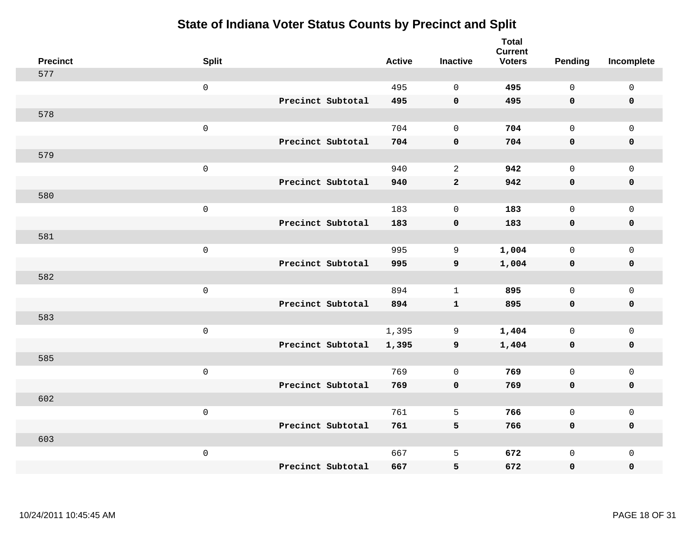| <b>Precinct</b> | <b>Split</b>        |                   | <b>Active</b> | <b>Inactive</b>    | <b>Total</b><br><b>Current</b><br><b>Voters</b> | <b>Pending</b> | Incomplete  |
|-----------------|---------------------|-------------------|---------------|--------------------|-------------------------------------------------|----------------|-------------|
| 577             |                     |                   |               |                    |                                                 |                |             |
|                 | $\mathsf 0$         |                   | 495           | $\mathbf 0$        | 495                                             | $\mathsf{O}$   | $\mathsf 0$ |
|                 |                     | Precinct Subtotal | 495           | $\mathbf 0$        | 495                                             | $\mathbf 0$    | $\mathbf 0$ |
| 578             |                     |                   |               |                    |                                                 |                |             |
|                 | $\mathsf 0$         |                   | 704           | $\mathbf 0$        | 704                                             | $\mathbf 0$    | $\mathbf 0$ |
|                 |                     | Precinct Subtotal | 704           | $\pmb{\mathsf{O}}$ | 704                                             | $\mathbf 0$    | $\pmb{0}$   |
| 579             |                     |                   |               |                    |                                                 |                |             |
|                 | $\mathsf{O}\xspace$ |                   | 940           | $\mathbf{2}$       | 942                                             | $\mathbf 0$    | $\mathsf 0$ |
|                 |                     | Precinct Subtotal | 940           | $\mathbf{2}$       | 942                                             | $\mathbf 0$    | $\mathbf 0$ |
| 580             |                     |                   |               |                    |                                                 |                |             |
|                 | $\mathsf 0$         |                   | 183           | $\mathbf 0$        | 183                                             | $\mathbf 0$    | $\mathsf 0$ |
|                 |                     | Precinct Subtotal | 183           | $\pmb{0}$          | 183                                             | $\mathbf 0$    | $\mathbf 0$ |
| 581             |                     |                   |               |                    |                                                 |                |             |
|                 | $\mathsf 0$         |                   | 995           | 9                  | 1,004                                           | $\mathbf 0$    | $\mathbf 0$ |
|                 |                     | Precinct Subtotal | 995           | $\mathbf{9}$       | 1,004                                           | $\mathbf 0$    | $\mathbf 0$ |
| 582             |                     |                   |               |                    |                                                 |                |             |
|                 | $\mathsf 0$         |                   | 894           | $\mathbf{1}$       | 895                                             | $\mathbf 0$    | $\mathsf 0$ |
|                 |                     | Precinct Subtotal | 894           | $\mathbf{1}$       | 895                                             | $\mathbf 0$    | $\mathbf 0$ |
| 583             |                     |                   |               |                    |                                                 |                |             |
|                 | $\mathbf 0$         |                   | 1,395         | 9                  | 1,404                                           | $\mathbf 0$    | $\mathbf 0$ |
|                 |                     | Precinct Subtotal | 1,395         | 9                  | 1,404                                           | $\mathbf 0$    | $\mathbf 0$ |
| 585             |                     |                   |               |                    |                                                 |                |             |
|                 | $\mathsf 0$         |                   | 769           | $\mathbf 0$        | 769                                             | $\mathsf{O}$   | $\mathsf 0$ |
|                 |                     | Precinct Subtotal | 769           | $\mathbf 0$        | 769                                             | $\mathbf 0$    | $\pmb{0}$   |
| 602             |                     |                   |               |                    |                                                 |                |             |
|                 | $\mathbf 0$         |                   | 761           | 5                  | 766                                             | $\mathbf 0$    | $\mathsf 0$ |
|                 |                     | Precinct Subtotal | 761           | 5                  | 766                                             | 0              | $\pmb{0}$   |
| 603             |                     |                   |               |                    |                                                 |                |             |
|                 | $\mathbf 0$         |                   | 667           | 5                  | 672                                             | $\mathsf{O}$   | $\mathbf 0$ |
|                 |                     | Precinct Subtotal | 667           | 5                  | 672                                             | 0              | 0           |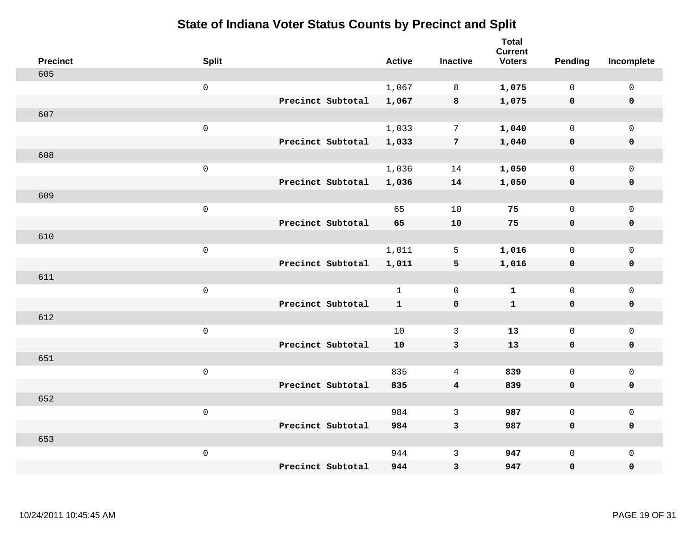|     | <b>Precinct</b> | <b>Split</b> |                   | <b>Active</b> | <b>Inactive</b>         | <b>Total</b><br><b>Current</b><br><b>Voters</b> | Pending      | Incomplete          |
|-----|-----------------|--------------|-------------------|---------------|-------------------------|-------------------------------------------------|--------------|---------------------|
| 605 |                 |              |                   |               |                         |                                                 |              |                     |
|     |                 | $\mathbf 0$  |                   | 1,067         | 8                       | 1,075                                           | $\mathbf 0$  | $\mathsf{O}$        |
|     |                 |              | Precinct Subtotal | 1,067         | 8                       | 1,075                                           | $\mathbf 0$  | $\mathbf 0$         |
| 607 |                 |              |                   |               |                         |                                                 |              |                     |
|     |                 | $\,0\,$      |                   | 1,033         | 7                       | 1,040                                           | $\mathbf 0$  | $\mathsf{O}$        |
|     |                 |              | Precinct Subtotal | 1,033         | $\overline{7}$          | 1,040                                           | 0            | 0                   |
| 608 |                 |              |                   |               |                         |                                                 |              |                     |
|     |                 | $\mathbf 0$  |                   | 1,036         | 14                      | 1,050                                           | $\mathbf 0$  | $\mathsf{O}\xspace$ |
|     |                 |              | Precinct Subtotal | 1,036         | 14                      | 1,050                                           | 0            | 0                   |
| 609 |                 |              |                   |               |                         |                                                 |              |                     |
|     |                 | $\mathbf 0$  |                   | 65            | 10                      | 75                                              | $\mathsf{O}$ | $\mathsf{O}\xspace$ |
|     |                 |              | Precinct Subtotal | 65            | $10$                    | 75                                              | 0            | 0                   |
| 610 |                 |              |                   |               |                         |                                                 |              |                     |
|     |                 | $\mathbf 0$  |                   | 1,011         | 5                       | 1,016                                           | $\mathbf 0$  | $\mathsf{O}$        |
|     |                 |              | Precinct Subtotal | 1,011         | $5\phantom{.0}$         | 1,016                                           | $\mathbf 0$  | 0                   |
| 611 |                 |              |                   |               |                         |                                                 |              |                     |
|     |                 | $\mathbf 0$  |                   | $\mathbf{1}$  | $\mathbf 0$             | $\mathbf{1}$                                    | $\mathbf 0$  | $\mathsf{O}$        |
|     |                 |              | Precinct Subtotal | $\mathbf{1}$  | $\mathbf 0$             | $\mathbf{1}$                                    | $\mathbf 0$  | 0                   |
| 612 |                 |              |                   |               |                         |                                                 |              |                     |
|     |                 | $\mathbf 0$  |                   | 10            | $\mathbf{3}$            | 13                                              | $\mathsf{O}$ | $\mathsf{O}$        |
|     |                 |              | Precinct Subtotal | 10            | 3                       | 13                                              | 0            | 0                   |
| 651 |                 |              |                   |               |                         |                                                 |              |                     |
|     |                 | $\mathbf 0$  |                   | 835           | $\overline{4}$          | 839                                             | $\mathsf 0$  | $\mathsf{O}\xspace$ |
|     |                 |              | Precinct Subtotal | 835           | $\overline{\mathbf{4}}$ | 839                                             | 0            | 0                   |
| 652 |                 |              |                   |               |                         |                                                 |              |                     |
|     |                 | $\mathbf 0$  |                   | 984           | $\mathbf{3}$            | 987                                             | $\mathbf 0$  | $\mathsf{O}\xspace$ |
|     |                 |              | Precinct Subtotal | 984           | 3                       | 987                                             | 0            | 0                   |
| 653 |                 |              |                   |               |                         |                                                 |              |                     |
|     |                 | $\mathbf 0$  |                   | 944           | $\mathsf{3}$            | 947                                             | $\mathsf{O}$ | $\mathsf{O}$        |
|     |                 |              | Precinct Subtotal | 944           | 3                       | 947                                             | 0            | 0                   |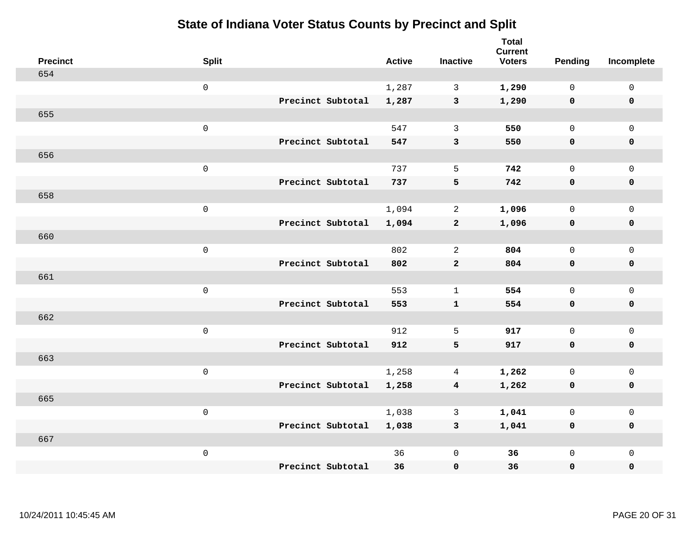| <b>Precinct</b> | <b>Split</b>        |                   | <b>Active</b> | <b>Inactive</b>         | <b>Total</b><br><b>Current</b><br><b>Voters</b> | Pending      | Incomplete          |
|-----------------|---------------------|-------------------|---------------|-------------------------|-------------------------------------------------|--------------|---------------------|
| 654             |                     |                   |               |                         |                                                 |              |                     |
|                 | $\mathsf{O}\xspace$ |                   | 1,287         | $\mathbf{3}$            | 1,290                                           | $\mathbf 0$  | $\mathsf{O}\xspace$ |
|                 |                     | Precinct Subtotal | 1,287         | $\mathbf{3}$            | 1,290                                           | $\mathbf 0$  | $\mathbf 0$         |
| 655             |                     |                   |               |                         |                                                 |              |                     |
|                 | $\mathsf 0$         |                   | 547           | $\mathbf{3}$            | 550                                             | $\mathbf 0$  | $\mathbf{0}$        |
|                 |                     | Precinct Subtotal | 547           | $\mathbf{3}$            | 550                                             | $\mathbf 0$  | $\pmb{0}$           |
| 656             |                     |                   |               |                         |                                                 |              |                     |
|                 | $\mathsf 0$         |                   | 737           | 5                       | 742                                             | $\mathbf 0$  | $\mathsf{O}$        |
|                 |                     | Precinct Subtotal | 737           | 5                       | 742                                             | 0            | 0                   |
| 658             |                     |                   |               |                         |                                                 |              |                     |
|                 | $\mathsf 0$         |                   | 1,094         | $\overline{2}$          | 1,096                                           | $\mathbf 0$  | $\mathsf{O}\xspace$ |
|                 |                     | Precinct Subtotal | 1,094         | $\mathbf{2}$            | 1,096                                           | 0            | 0                   |
| 660             |                     |                   |               |                         |                                                 |              |                     |
|                 | $\mathsf{O}\xspace$ |                   | 802           | 2                       | 804                                             | $\mathbf 0$  | $\mathsf{O}\xspace$ |
|                 |                     | Precinct Subtotal | 802           | $\mathbf{2}$            | 804                                             | 0            | 0                   |
| 661             |                     |                   |               |                         |                                                 |              |                     |
|                 | $\mathsf{O}\xspace$ |                   | 553           | $\mathbf{1}$            | 554                                             | $\mathbf 0$  | $\mathsf{O}\xspace$ |
|                 |                     | Precinct Subtotal | 553           | ${\bf 1}$               | 554                                             | 0            | 0                   |
| 662             |                     |                   |               |                         |                                                 |              |                     |
|                 | $\mathsf 0$         |                   | 912           | 5                       | 917                                             | $\mathbf{0}$ | $\mathsf{O}$        |
|                 |                     | Precinct Subtotal | 912           | 5                       | 917                                             | 0            | 0                   |
| 663             |                     |                   |               |                         |                                                 |              |                     |
|                 | $\mathsf{O}\xspace$ |                   | 1,258         | $\overline{4}$          | 1,262                                           | $\mathsf{O}$ | $\mathsf{O}\xspace$ |
|                 |                     | Precinct Subtotal | 1,258         | $\overline{\mathbf{4}}$ | 1,262                                           | 0            | 0                   |
| 665             |                     |                   |               |                         |                                                 |              |                     |
|                 | $\mathsf{O}\xspace$ |                   | 1,038         | 3                       | 1,041                                           | $\mathbf 0$  | $\mathsf{O}$        |
|                 |                     | Precinct Subtotal | 1,038         | 3                       | 1,041                                           | 0            | 0                   |
| 667             |                     |                   |               |                         |                                                 |              |                     |
|                 | $\mathsf{O}\xspace$ |                   | 36            | $\mathsf 0$             | 36                                              | $\mathsf{O}$ | $\mathsf{O}$        |
|                 |                     | Precinct Subtotal | 36            | $\pmb{0}$               | 36                                              | 0            | 0                   |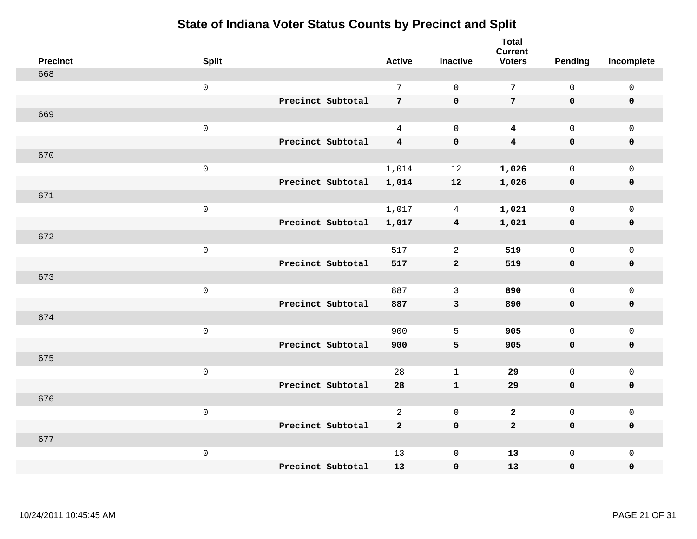| <b>Precinct</b> | <b>Split</b>        |                   | <b>Active</b>           | <b>Inactive</b>         | <b>Total</b><br><b>Current</b><br><b>Voters</b> | Pending             | Incomplete          |
|-----------------|---------------------|-------------------|-------------------------|-------------------------|-------------------------------------------------|---------------------|---------------------|
| 668             |                     |                   |                         |                         |                                                 |                     |                     |
|                 | $\mathbf 0$         |                   | $\overline{7}$          | $\mathbf 0$             | $\overline{7}$                                  | $\mathsf{O}\xspace$ | $\mathsf 0$         |
|                 |                     | Precinct Subtotal | $7\overline{ }$         | $\mathbf 0$             | $7\phantom{.}$                                  | $\mathbf 0$         | $\mathbf 0$         |
| 669             |                     |                   |                         |                         |                                                 |                     |                     |
|                 | $\mathsf{O}\xspace$ |                   | $\overline{4}$          | $\mathbf 0$             | $\boldsymbol{4}$                                | $\mathsf{O}$        | $\mathsf 0$         |
|                 |                     | Precinct Subtotal | $\overline{\mathbf{4}}$ | $\mathbf 0$             | $\overline{\mathbf{4}}$                         | $\mathbf 0$         | $\pmb{0}$           |
| 670             |                     |                   |                         |                         |                                                 |                     |                     |
|                 | $\mathsf{O}\xspace$ |                   | 1,014                   | 12                      | 1,026                                           | $\mathsf{O}\xspace$ | $\mathsf{O}\xspace$ |
|                 |                     | Precinct Subtotal | 1,014                   | 12                      | 1,026                                           | $\mathbf 0$         | $\pmb{0}$           |
| 671             |                     |                   |                         |                         |                                                 |                     |                     |
|                 | $\mathbf 0$         |                   | 1,017                   | 4                       | 1,021                                           | $\mathsf 0$         | $\mathbf 0$         |
|                 |                     | Precinct Subtotal | 1,017                   | $\overline{\mathbf{4}}$ | 1,021                                           | $\mathbf 0$         | $\pmb{0}$           |
| 672             |                     |                   |                         |                         |                                                 |                     |                     |
|                 | $\mathsf{O}\xspace$ |                   | 517                     | 2                       | 519                                             | $\mathsf{O}\xspace$ | $\mathsf{O}\xspace$ |
|                 |                     | Precinct Subtotal | 517                     | $\mathbf{2}$            | 519                                             | $\mathbf 0$         | $\mathbf 0$         |
| 673             |                     |                   |                         |                         |                                                 |                     |                     |
|                 | $\mathsf 0$         |                   | 887                     | $\mathbf{3}$            | 890                                             | $\mathsf{O}$        | $\mathbf 0$         |
|                 |                     | Precinct Subtotal | 887                     | $\mathbf{3}$            | 890                                             | $\mathbf 0$         | $\mathbf 0$         |
| 674             |                     |                   |                         |                         |                                                 |                     |                     |
|                 | $\mathsf 0$         |                   | 900                     | 5                       | 905                                             | $\mathbf 0$         | $\mathsf 0$         |
|                 |                     | Precinct Subtotal | 900                     | 5                       | 905                                             | $\mathbf 0$         | $\mathbf 0$         |
| 675             |                     |                   |                         |                         |                                                 |                     |                     |
|                 | $\mathsf 0$         |                   | 28                      | $\mathbf{1}$            | 29                                              | $\mathsf{O}$        | $\mathsf 0$         |
|                 |                     | Precinct Subtotal | 28                      | $\mathbf{1}$            | 29                                              | $\mathbf 0$         | $\mathbf 0$         |
| 676             |                     |                   |                         |                         |                                                 |                     |                     |
|                 | $\mathsf 0$         |                   | $\overline{2}$          | $\mathbf 0$             | $\overline{a}$                                  | $\mathsf{O}$        | $\mathsf 0$         |
|                 |                     | Precinct Subtotal | $\overline{\mathbf{2}}$ | $\mathbf 0$             | $\overline{a}$                                  | $\mathbf 0$         | $\mathbf 0$         |
| 677             |                     |                   |                         |                         |                                                 |                     |                     |
|                 | $\mathsf 0$         |                   | 13                      | $\mathsf{O}\xspace$     | 13                                              | $\mathsf{O}$        | $\mathsf 0$         |
|                 |                     | Precinct Subtotal | 13                      | $\pmb{0}$               | 13                                              | $\mathsf{O}\xspace$ | $\pmb{0}$           |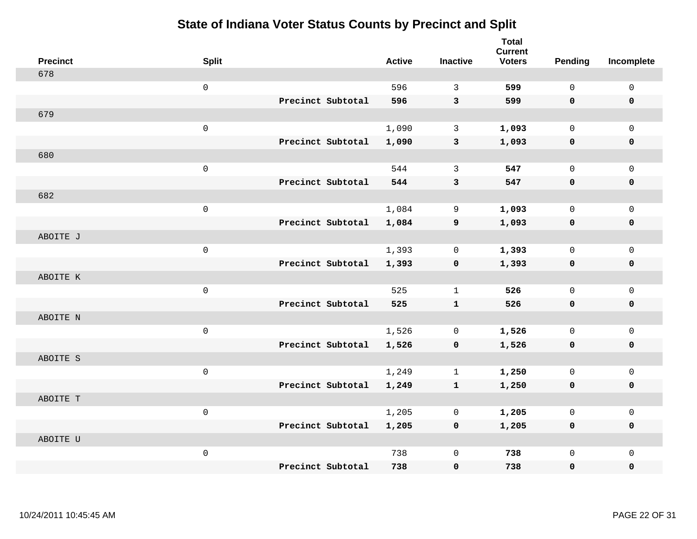| <b>Precinct</b> | <b>Split</b> |                   | <b>Active</b> | <b>Inactive</b> | <b>Total</b><br><b>Current</b><br><b>Voters</b> | Pending      | Incomplete   |
|-----------------|--------------|-------------------|---------------|-----------------|-------------------------------------------------|--------------|--------------|
| 678             |              |                   |               |                 |                                                 |              |              |
|                 | $\mathsf 0$  |                   | 596           | 3               | 599                                             | $\Omega$     | $\mathsf 0$  |
|                 |              | Precinct Subtotal | 596           | $\mathbf{3}$    | 599                                             | $\mathbf 0$  | $\mathbf 0$  |
| 679             |              |                   |               |                 |                                                 |              |              |
|                 | $\mathsf 0$  |                   | 1,090         | 3               | 1,093                                           | $\mathbf 0$  | $\mathbf{0}$ |
|                 |              | Precinct Subtotal | 1,090         | 3               | 1,093                                           | $\mathbf 0$  | $\pmb{0}$    |
| 680             |              |                   |               |                 |                                                 |              |              |
|                 | $\mathsf 0$  |                   | 544           | 3               | 547                                             | $\Omega$     | $\mathbf 0$  |
|                 |              | Precinct Subtotal | 544           | 3               | 547                                             | $\mathbf 0$  | $\mathbf 0$  |
| 682             |              |                   |               |                 |                                                 |              |              |
|                 | $\mathsf 0$  |                   | 1,084         | 9               | 1,093                                           | $\mathsf{O}$ | $\mathbf 0$  |
|                 |              | Precinct Subtotal | 1,084         | 9               | 1,093                                           | $\mathbf 0$  | $\mathbf 0$  |
| ABOITE J        |              |                   |               |                 |                                                 |              |              |
|                 | $\mathsf 0$  |                   | 1,393         | $\mathbf 0$     | 1,393                                           | $\mathbf 0$  | $\mathbf 0$  |
|                 |              | Precinct Subtotal | 1,393         | $\mathbf 0$     | 1,393                                           | $\mathbf 0$  | $\mathbf 0$  |
| ABOITE K        |              |                   |               |                 |                                                 |              |              |
|                 | $\mathbf 0$  |                   | 525           | 1               | 526                                             | $\mathbf 0$  | $\mathbf 0$  |
|                 |              | Precinct Subtotal | 525           | $\mathbf{1}$    | 526                                             | $\mathbf 0$  | $\mathbf 0$  |
| ABOITE N        |              |                   |               |                 |                                                 |              |              |
|                 | $\mathsf 0$  |                   | 1,526         | 0               | 1,526                                           | 0            | $\mathsf 0$  |
|                 |              | Precinct Subtotal | 1,526         | $\mathbf 0$     | 1,526                                           | $\mathbf 0$  | 0            |
| ABOITE S        |              |                   |               |                 |                                                 |              |              |
|                 | $\mathsf 0$  |                   | 1,249         | $\mathbf{1}$    | 1,250                                           | $\mathbf 0$  | $\mathbf 0$  |
|                 |              | Precinct Subtotal | 1,249         | $\mathbf{1}$    | 1,250                                           | 0            | 0            |
| ABOITE T        |              |                   |               |                 |                                                 |              |              |
|                 | $\mathsf 0$  |                   | 1,205         | $\mathbf 0$     | 1,205                                           | $\mathbf 0$  | $\mathbf 0$  |
|                 |              | Precinct Subtotal | 1,205         | $\mathbf 0$     | 1,205                                           | 0            | 0            |
| ABOITE U        |              |                   |               |                 |                                                 |              |              |
|                 | $\mathsf 0$  |                   | 738           | $\mathbf 0$     | 738                                             | $\mathbf 0$  | $\mathbf{0}$ |
|                 |              | Precinct Subtotal | 738           | $\mathbf 0$     | 738                                             | $\mathbf 0$  | 0            |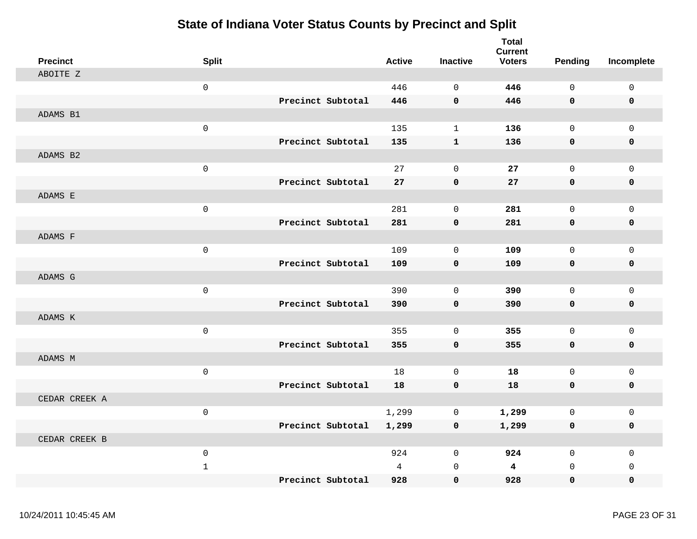| <b>Precinct</b> | <b>Split</b>        |                   | <b>Active</b> | <b>Inactive</b>     | <b>Total</b><br><b>Current</b><br><b>Voters</b> | <b>Pending</b> | Incomplete          |
|-----------------|---------------------|-------------------|---------------|---------------------|-------------------------------------------------|----------------|---------------------|
| ABOITE Z        |                     |                   |               |                     |                                                 |                |                     |
|                 | $\mathsf{O}$        |                   | 446           | $\overline{0}$      | 446                                             | $\mathbf 0$    | $\mathbf 0$         |
|                 |                     | Precinct Subtotal | 446           | $\mathbf 0$         | 446                                             | 0              | $\mathbf 0$         |
| ADAMS B1        |                     |                   |               |                     |                                                 |                |                     |
|                 | $\mathsf 0$         |                   | 135           | $\mathbf{1}$        | 136                                             | $\mathsf{O}$   | $\mathbf 0$         |
|                 |                     | Precinct Subtotal | 135           | $\mathbf 1$         | 136                                             | 0              | 0                   |
| ADAMS B2        |                     |                   |               |                     |                                                 |                |                     |
|                 | $\mathsf 0$         |                   | 27            | $\mathsf 0$         | ${\bf 27}$                                      | $\mathbf{0}$   | $\mathsf 0$         |
|                 |                     | Precinct Subtotal | 27            | $\pmb{0}$           | 27                                              | 0              | $\pmb{0}$           |
| ADAMS E         |                     |                   |               |                     |                                                 |                |                     |
|                 | $\mathsf{O}\xspace$ |                   | 281           | $\mathbf 0$         | 281                                             | $\mathsf{O}$   | 0                   |
|                 |                     | Precinct Subtotal | 281           | $\mathbf 0$         | 281                                             | 0              | $\mathbf 0$         |
| ADAMS F         |                     |                   |               |                     |                                                 |                |                     |
|                 | $\mathsf 0$         |                   | 109           | $\mathbf 0$         | 109                                             | $\mathsf{O}$   | $\mathbf 0$         |
|                 |                     | Precinct Subtotal | 109           | $\pmb{0}$           | 109                                             | 0              | 0                   |
| ADAMS G         |                     |                   |               |                     |                                                 |                |                     |
|                 | $\mathsf{O}\xspace$ |                   | 390           | $\mathbf 0$         | 390                                             | $\mathsf{O}$   | $\mathbf 0$         |
|                 |                     | Precinct Subtotal | 390           | $\pmb{0}$           | 390                                             | 0              | 0                   |
| ADAMS K         |                     |                   |               |                     |                                                 |                |                     |
|                 | $\mathsf{O}\xspace$ |                   | 355           | $\mathsf{O}\xspace$ | 355                                             | $\mathsf 0$    | $\mathsf 0$         |
|                 |                     | Precinct Subtotal | 355           | $\mathbf 0$         | 355                                             | 0              | 0                   |
| ADAMS M         |                     |                   |               |                     |                                                 |                |                     |
|                 | $\mathsf 0$         |                   | 18            | $\mathsf 0$         | 18                                              | $\mathsf{O}$   | $\mathsf 0$         |
|                 |                     | Precinct Subtotal | 18            | $\mathbf 0$         | 18                                              | $\mathbf 0$    | 0                   |
| CEDAR CREEK A   |                     |                   |               |                     |                                                 |                |                     |
|                 | $\mathsf{O}\xspace$ |                   | 1,299         | $\mathbf 0$         | 1,299                                           | $\mathsf{O}$   | $\mathsf{O}\xspace$ |
|                 |                     | Precinct Subtotal | 1,299         | $\pmb{0}$           | 1,299                                           | 0              | 0                   |
| CEDAR CREEK B   |                     |                   |               |                     |                                                 |                |                     |
|                 | $\mathbf 0$         |                   | 924           | $\mathbf 0$         | 924                                             | $\mathbf 0$    | $\mathbf 0$         |
|                 | $1\,$               |                   | 4             | $\mathbf 0$         | $\overline{\mathbf{4}}$                         | $\mathbf 0$    | $\mathbf 0$         |
|                 |                     | Precinct Subtotal | 928           | $\mathbf 0$         | 928                                             | 0              | 0                   |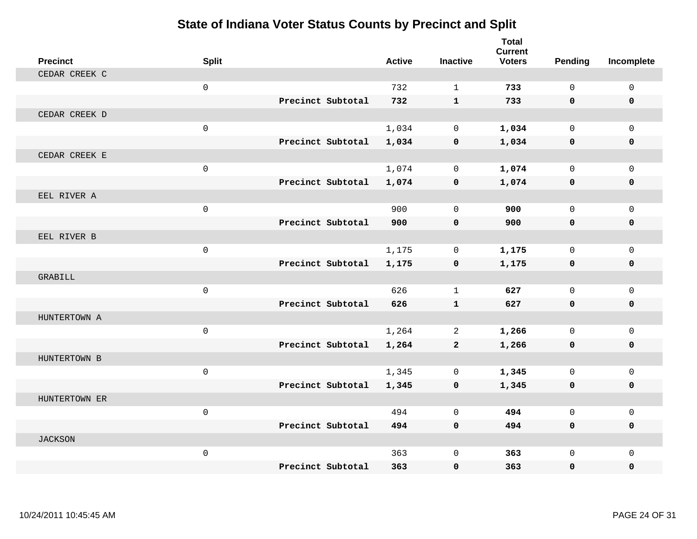| <b>Precinct</b> | <b>Split</b> |                   | <b>Active</b> | <b>Inactive</b> | <b>Total</b><br><b>Current</b><br><b>Voters</b> | Pending      | Incomplete   |
|-----------------|--------------|-------------------|---------------|-----------------|-------------------------------------------------|--------------|--------------|
| CEDAR CREEK C   |              |                   |               |                 |                                                 |              |              |
|                 | $\mathbf 0$  |                   | 732           | $\mathbf{1}$    | 733                                             | $\Omega$     | $\Omega$     |
|                 |              | Precinct Subtotal | 732           | $\mathbf{1}$    | 733                                             | $\mathbf{0}$ | $\mathbf 0$  |
| CEDAR CREEK D   |              |                   |               |                 |                                                 |              |              |
|                 | $\mathbf 0$  |                   | 1,034         | $\mathbf 0$     | 1,034                                           | $\mathbf 0$  | $\Omega$     |
|                 |              | Precinct Subtotal | 1,034         | $\mathbf 0$     | 1,034                                           | 0            | $\mathbf 0$  |
| CEDAR CREEK E   |              |                   |               |                 |                                                 |              |              |
|                 | $\mathbf 0$  |                   | 1,074         | $\Omega$        | 1,074                                           | $\Omega$     | $\Omega$     |
|                 |              | Precinct Subtotal | 1,074         | $\mathbf 0$     | 1,074                                           | 0            | $\mathbf 0$  |
| EEL RIVER A     |              |                   |               |                 |                                                 |              |              |
|                 | $\mathbf 0$  |                   | 900           | $\mathbf 0$     | 900                                             | $\mathbf 0$  | $\mathbf 0$  |
|                 |              | Precinct Subtotal | 900           | $\mathbf 0$     | 900                                             | $\mathbf{0}$ | $\mathbf 0$  |
| EEL RIVER B     |              |                   |               |                 |                                                 |              |              |
|                 | $\mathbf{0}$ |                   | 1,175         | $\mathbf 0$     | 1,175                                           | $\mathbf{0}$ | $\mathbf{0}$ |
|                 |              | Precinct Subtotal | 1,175         | $\mathbf 0$     | 1,175                                           | 0            | 0            |
| GRABILL         |              |                   |               |                 |                                                 |              |              |
|                 | $\mathbf 0$  |                   | 626           | $\mathbf{1}$    | 627                                             | $\mathbf 0$  | $\Omega$     |
|                 |              | Precinct Subtotal | 626           | $\mathbf{1}$    | 627                                             | $\mathbf 0$  | $\mathbf 0$  |
| HUNTERTOWN A    |              |                   |               |                 |                                                 |              |              |
|                 | $\mathbf 0$  |                   | 1,264         | 2               | 1,266                                           | $\mathbf 0$  | $\mathbf 0$  |
|                 |              | Precinct Subtotal | 1,264         | $\mathbf{2}$    | 1,266                                           | 0            | $\mathbf 0$  |
| HUNTERTOWN B    |              |                   |               |                 |                                                 |              |              |
|                 | $\mathbf 0$  |                   | 1,345         | $\mathbf 0$     | 1,345                                           | $\mathbf 0$  | $\mathbf 0$  |
|                 |              | Precinct Subtotal | 1,345         | $\mathbf 0$     | 1,345                                           | 0            | 0            |
| HUNTERTOWN ER   |              |                   |               |                 |                                                 |              |              |
|                 | $\mathbf{0}$ |                   | 494           | $\Omega$        | 494                                             | $\mathbf 0$  | $\mathbf 0$  |
|                 |              | Precinct Subtotal | 494           | $\mathbf 0$     | 494                                             | 0            | $\mathbf 0$  |
| <b>JACKSON</b>  |              |                   |               |                 |                                                 |              |              |
|                 | $\mathbf 0$  |                   | 363           | $\mathbf 0$     | 363                                             | $\mathbf{0}$ | $\Omega$     |
|                 |              | Precinct Subtotal | 363           | $\mathbf 0$     | 363                                             | 0            | $\mathbf 0$  |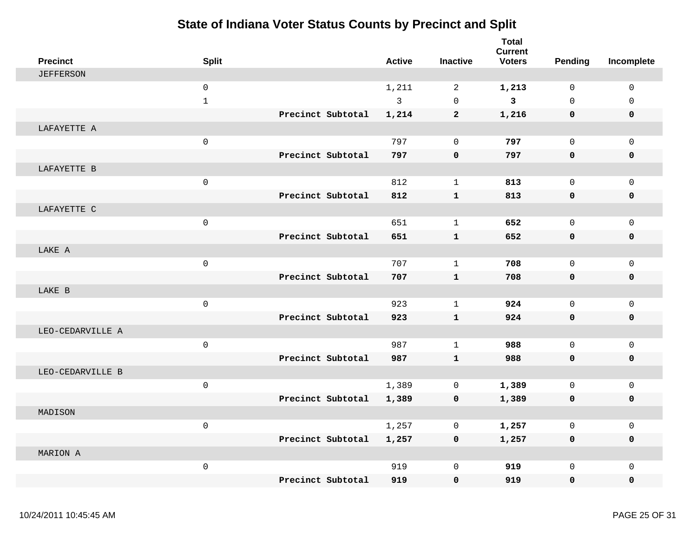| <b>Precinct</b>  | <b>Split</b>        |                   | <b>Active</b> | <b>Inactive</b>     | <b>Total</b><br><b>Current</b><br><b>Voters</b> | Pending      | Incomplete   |
|------------------|---------------------|-------------------|---------------|---------------------|-------------------------------------------------|--------------|--------------|
| <b>JEFFERSON</b> |                     |                   |               |                     |                                                 |              |              |
|                  | $\mathbf 0$         |                   | 1,211         | 2                   | 1,213                                           | $\mathbf 0$  | $\mathbf 0$  |
|                  | $\mathbf{1}$        |                   | 3             | $\Omega$            | $\mathbf{3}$                                    | $\Omega$     | $\Omega$     |
|                  |                     | Precinct Subtotal | 1,214         | $\mathbf{2}$        | 1,216                                           | $\mathbf 0$  | 0            |
| LAFAYETTE A      |                     |                   |               |                     |                                                 |              |              |
|                  | $\mathbf 0$         |                   | 797           | $\mathbf 0$         | 797                                             | $\mathbf 0$  | $\mathbf 0$  |
|                  |                     | Precinct Subtotal | 797           | $\mathbf 0$         | 797                                             | $\mathbf 0$  | $\mathbf{0}$ |
| LAFAYETTE B      |                     |                   |               |                     |                                                 |              |              |
|                  | $\mathbf 0$         |                   | 812           | $\mathbf{1}$        | 813                                             | $\mathbf 0$  | $\mathbf{0}$ |
|                  |                     | Precinct Subtotal | 812           | $\mathbf{1}$        | 813                                             | $\mathbf 0$  | 0            |
| LAFAYETTE C      |                     |                   |               |                     |                                                 |              |              |
|                  | $\mathsf{O}\xspace$ |                   | 651           | $\mathbf{1}$        | 652                                             | $\mathsf{O}$ | $\mathsf 0$  |
|                  |                     | Precinct Subtotal | 651           | $\mathbf{1}$        | 652                                             | $\mathbf 0$  | $\mathbf 0$  |
| LAKE A           |                     |                   |               |                     |                                                 |              |              |
|                  | $\mathsf{O}\xspace$ |                   | 707           | $\mathbf{1}$        | 708                                             | $\Omega$     | $\mathbf 0$  |
|                  |                     | Precinct Subtotal | 707           | $\mathbf{1}$        | 708                                             | $\mathbf 0$  | $\mathbf 0$  |
| LAKE B           |                     |                   |               |                     |                                                 |              |              |
|                  | $\mathbf 0$         |                   | 923           | $\mathbf{1}$        | 924                                             | $\mathbf 0$  | $\mathbf 0$  |
|                  |                     | Precinct Subtotal | 923           | $\mathbf{1}$        | 924                                             | 0            | 0            |
| LEO-CEDARVILLE A |                     |                   |               |                     |                                                 |              |              |
|                  | $\mathbf 0$         |                   | 987           | $\mathbf{1}$        | 988                                             | $\mathbf 0$  | $\mathbf 0$  |
|                  |                     | Precinct Subtotal | 987           | $\mathbf{1}$        | 988                                             | 0            | 0            |
| LEO-CEDARVILLE B |                     |                   |               |                     |                                                 |              |              |
|                  | $\mathsf{O}\xspace$ |                   | 1,389         | $\mathbf 0$         | 1,389                                           | $\mathsf{O}$ | $\mathsf 0$  |
|                  |                     | Precinct Subtotal | 1,389         | 0                   | 1,389                                           | 0            | 0            |
| MADISON          |                     |                   |               |                     |                                                 |              |              |
|                  | $\mathsf{O}\xspace$ |                   | 1,257         | 0                   | 1,257                                           | $\mathbf 0$  | $\mathbf 0$  |
|                  |                     | Precinct Subtotal | 1,257         | $\mathbf 0$         | 1,257                                           | $\mathbf 0$  | 0            |
| MARION A         |                     |                   |               |                     |                                                 |              |              |
|                  | $\mathsf{O}\xspace$ |                   | 919           | $\mathsf{O}\xspace$ | 919                                             | $\Omega$     | $\Omega$     |
|                  |                     | Precinct Subtotal | 919           | $\mathbf 0$         | 919                                             | $\mathbf{0}$ | $\mathbf{0}$ |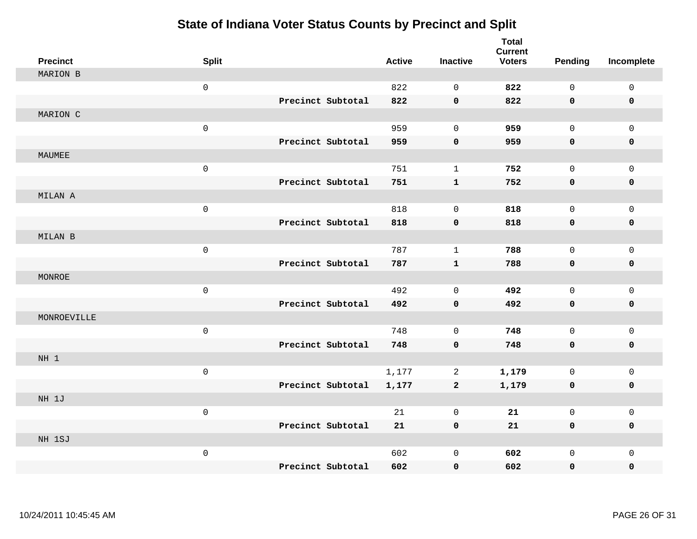| <b>Precinct</b> | <b>Split</b>        |                   | <b>Active</b> | <b>Inactive</b> | <b>Total</b><br><b>Current</b><br><b>Voters</b> | Pending      | Incomplete  |
|-----------------|---------------------|-------------------|---------------|-----------------|-------------------------------------------------|--------------|-------------|
| <b>MARION B</b> |                     |                   |               |                 |                                                 |              |             |
|                 | $\mathbf 0$         |                   | 822           | $\mathbf 0$     | 822                                             | $\mathbf 0$  | $\mathsf 0$ |
|                 |                     | Precinct Subtotal | 822           | $\mathbf 0$     | 822                                             | $\mathbf 0$  | $\mathbf 0$ |
| MARION C        |                     |                   |               |                 |                                                 |              |             |
|                 | $\mathsf 0$         |                   | 959           | $\mathbf 0$     | 959                                             | $\mathbf 0$  | $\mathbf 0$ |
|                 |                     | Precinct Subtotal | 959           | $\pmb{0}$       | 959                                             | $\mathbf 0$  | $\mathbf 0$ |
| MAUMEE          |                     |                   |               |                 |                                                 |              |             |
|                 | $\mathsf 0$         |                   | 751           | $\mathbf{1}$    | 752                                             | $\Omega$     | $\mathsf 0$ |
|                 |                     | Precinct Subtotal | 751           | $\mathbf{1}$    | 752                                             | $\mathbf 0$  | $\pmb{0}$   |
| MILAN A         |                     |                   |               |                 |                                                 |              |             |
|                 | $\mathsf{O}\xspace$ |                   | 818           | $\mathbf 0$     | 818                                             | $\mathbf 0$  | $\mathbf 0$ |
|                 |                     | Precinct Subtotal | 818           | $\mathbf 0$     | 818                                             | $\mathbf 0$  | $\pmb{0}$   |
| MILAN B         |                     |                   |               |                 |                                                 |              |             |
|                 | $\mathsf 0$         |                   | 787           | $\mathbf{1}$    | 788                                             | $\mathbf 0$  | $\mathbf 0$ |
|                 |                     | Precinct Subtotal | 787           | $\mathbf{1}$    | 788                                             | $\mathbf 0$  | $\mathbf 0$ |
| MONROE          |                     |                   |               |                 |                                                 |              |             |
|                 | $\mathsf 0$         |                   | 492           | $\mathbf 0$     | 492                                             | $\mathbf 0$  | $\mathbf 0$ |
|                 |                     | Precinct Subtotal | 492           | $\mathbf 0$     | 492                                             | $\mathbf 0$  | 0           |
| MONROEVILLE     |                     |                   |               |                 |                                                 |              |             |
|                 | $\mathsf 0$         |                   | 748           | $\mathbf 0$     | 748                                             | $\mathbf 0$  | $\mathbf 0$ |
|                 |                     | Precinct Subtotal | 748           | $\mathbf 0$     | 748                                             | $\mathbf 0$  | 0           |
| NH <sub>1</sub> |                     |                   |               |                 |                                                 |              |             |
|                 | $\mathsf 0$         |                   | 1,177         | 2               | 1,179                                           | $\mathbf 0$  | $\mathbf 0$ |
|                 |                     | Precinct Subtotal | 1,177         | $\mathbf{2}$    | 1,179                                           | 0            | 0           |
| NH 1J           |                     |                   |               |                 |                                                 |              |             |
|                 | $\mathsf 0$         |                   | 21            | $\overline{0}$  | 21                                              | $\mathbf 0$  | $\mathbf 0$ |
|                 |                     | Precinct Subtotal | 21            | $\pmb{0}$       | 21                                              | 0            | 0           |
| NH 1SJ          |                     |                   |               |                 |                                                 |              |             |
|                 | $\mathsf 0$         |                   | 602           | $\mathbf 0$     | 602                                             | $\mathsf{O}$ | $\mathbf 0$ |
|                 |                     | Precinct Subtotal | 602           | $\mathbf 0$     | 602                                             | $\mathbf 0$  | 0           |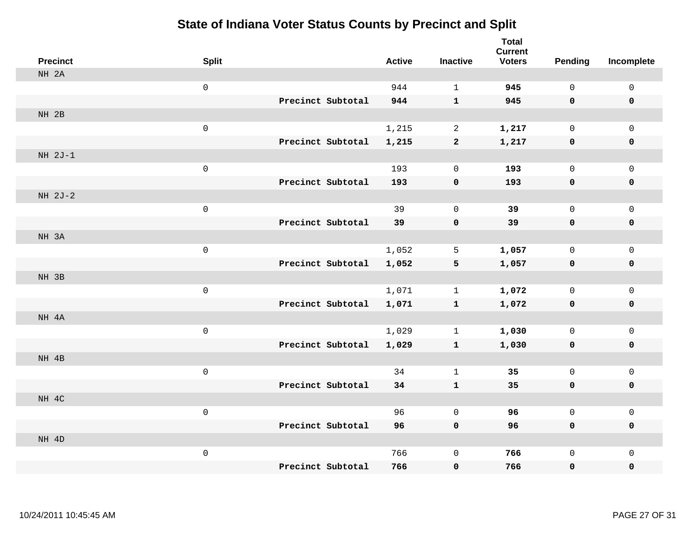| <b>Precinct</b> | <b>Split</b>        |                   | <b>Active</b> | <b>Inactive</b>     | <b>Total</b><br><b>Current</b><br><b>Voters</b> | <b>Pending</b>      | Incomplete                  |
|-----------------|---------------------|-------------------|---------------|---------------------|-------------------------------------------------|---------------------|-----------------------------|
| NH 2A           |                     |                   |               |                     |                                                 |                     |                             |
|                 | $\mathsf 0$         |                   | 944           | $\mathbf{1}$        | 945                                             | $\mathbf 0$         | $\mathsf{O}\xspace$         |
|                 |                     | Precinct Subtotal | 944           | $\mathbf{1}$        | 945                                             | $\mathbf 0$         | $\mathbf 0$                 |
| NH 2B           |                     |                   |               |                     |                                                 |                     |                             |
|                 | $\mathsf{O}\xspace$ |                   | 1,215         | $\overline{2}$      | 1,217                                           | $\mathbf 0$         | $\mathsf{O}$                |
|                 |                     | Precinct Subtotal | 1,215         | $\mathbf{2}$        | 1,217                                           | $\mathbf 0$         | 0                           |
| $NH 2J-1$       |                     |                   |               |                     |                                                 |                     |                             |
|                 | $\mathsf{O}\xspace$ |                   | 193           | $\mathbf 0$         | 193                                             | $\mathbf 0$         | $\mathsf{O}\xspace$         |
|                 |                     | Precinct Subtotal | 193           | $\pmb{0}$           | 193                                             | 0                   | $\pmb{0}$                   |
| NH 2J-2         |                     |                   |               |                     |                                                 |                     |                             |
|                 | $\mathsf{O}\xspace$ |                   | 39            | $\mathsf{O}\xspace$ | 39                                              | $\mathbf 0$         | $\mathsf{O}$                |
|                 |                     | Precinct Subtotal | 39            | $\mathbf 0$         | 39                                              | $\mathbf 0$         | 0                           |
| NH 3A           |                     |                   |               |                     |                                                 |                     |                             |
|                 | $\mathsf 0$         |                   | 1,052         | 5                   | 1,057                                           | $\mathbf 0$         | $\mathsf{O}$                |
|                 |                     | Precinct Subtotal | 1,052         | 5                   | 1,057                                           | $\mathbf 0$         | 0                           |
| NH 3B           |                     |                   |               |                     |                                                 |                     |                             |
|                 | $\mathbf 0$         |                   | 1,071         | $\mathbf{1}$        | 1,072                                           | $\mathsf{O}\xspace$ | $\mathsf{O}\xspace$         |
|                 |                     | Precinct Subtotal | 1,071         | $\mathbf{1}$        | 1,072                                           | $\mathbf 0$         | 0                           |
| NH 4A           |                     |                   |               |                     |                                                 |                     |                             |
|                 | $\mathsf 0$         |                   | 1,029         | $\mathbf{1}$        | 1,030                                           | $\mathbf 0$         | $\mathsf{O}$                |
|                 |                     | Precinct Subtotal | 1,029         | $\mathbf{1}$        | 1,030                                           | 0                   | 0                           |
| NH 4B           |                     |                   |               |                     |                                                 |                     |                             |
|                 | $\mathsf 0$         |                   | 34            | $\mathbf{1}$        | 35                                              | $\mathbf 0$         | $\mathsf{O}\xspace$         |
|                 |                     | Precinct Subtotal | 34            | $\mathbf{1}$        | 35                                              | $\mathbf 0$         | 0                           |
| NH 4C           |                     |                   |               |                     |                                                 |                     |                             |
|                 | $\mathsf 0$         |                   | 96            | $\mathbf 0$         | 96                                              | $\mathbf 0$         | $\mathsf{O}$                |
|                 |                     | Precinct Subtotal | 96            | $\mathbf 0$         | 96                                              | 0                   | 0                           |
| NH 4D           |                     |                   |               |                     |                                                 |                     |                             |
|                 | $\mathsf 0$         | Precinct Subtotal | 766           | $\mathbf 0$         | 766                                             | $\mathbf 0$         | $\mathsf{O}$<br>$\mathbf 0$ |
|                 |                     |                   | 766           | $\pmb{0}$           | 766                                             | 0                   |                             |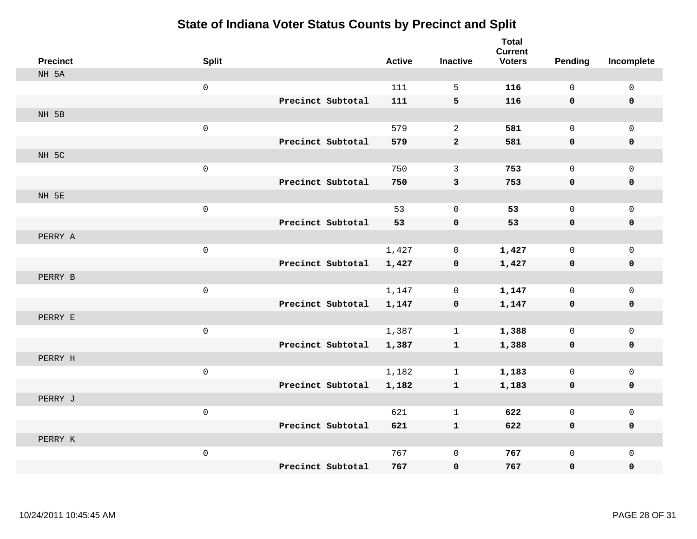| <b>Precinct</b> | <b>Split</b>        |                   | <b>Active</b> | <b>Inactive</b> | <b>Total</b><br><b>Current</b><br><b>Voters</b> | Pending     | Incomplete   |
|-----------------|---------------------|-------------------|---------------|-----------------|-------------------------------------------------|-------------|--------------|
| NH 5A           |                     |                   |               |                 |                                                 |             |              |
|                 | $\mathsf{O}\xspace$ |                   | 111           | 5               | 116                                             | $\mathbf 0$ | $\mathsf{O}$ |
|                 |                     | Precinct Subtotal | 111           | 5               | 116                                             | 0           | 0            |
| NH 5B           |                     |                   |               |                 |                                                 |             |              |
|                 | $\mathsf{O}\xspace$ |                   | 579           | $\overline{2}$  | 581                                             | $\mathbf 0$ | $\mathbf{0}$ |
|                 |                     | Precinct Subtotal | 579           | $\mathbf 2$     | 581                                             | 0           | 0            |
| NH 5C           |                     |                   |               |                 |                                                 |             |              |
|                 | $\mathsf 0$         |                   | 750           | 3               | 753                                             | $\Omega$    | $\mathsf{O}$ |
|                 |                     | Precinct Subtotal | 750           | $\mathbf{3}$    | 753                                             | 0           | 0            |
| NH 5E           |                     |                   |               |                 |                                                 |             |              |
|                 | $\mathsf{O}\xspace$ |                   | 53            | 0               | 53                                              | $\mathbf 0$ | $\mathsf{O}$ |
|                 |                     | Precinct Subtotal | 53            | $\mathbf 0$     | 53                                              | 0           | 0            |
| PERRY A         |                     |                   |               |                 |                                                 |             |              |
|                 | $\mathsf{O}\xspace$ |                   | 1,427         | 0               | 1,427                                           | $\mathbf 0$ | $\mathbf 0$  |
|                 |                     | Precinct Subtotal | 1,427         | $\mathbf 0$     | 1,427                                           | 0           | 0            |
| PERRY B         |                     |                   |               |                 |                                                 |             |              |
|                 | $\mathbf 0$         |                   | 1,147         | $\mathbf 0$     | 1,147                                           | $\mathbf 0$ | $\mathsf{O}$ |
|                 |                     | Precinct Subtotal | 1,147         | $\mathbf 0$     | 1,147                                           | $\mathbf 0$ | 0            |
| PERRY E         |                     |                   |               |                 |                                                 |             |              |
|                 | $\mathsf 0$         |                   | 1,387         | $\mathbf{1}$    | 1,388                                           | $\mathbf 0$ | $\mathsf{O}$ |
|                 |                     | Precinct Subtotal | 1,387         | $\mathbf{1}$    | 1,388                                           | 0           | 0            |
| PERRY H         |                     |                   |               |                 |                                                 |             |              |
|                 | $\mathsf{O}\xspace$ |                   | 1,182         | $\mathbf{1}$    | 1,183                                           | $\mathbf 0$ | $\mathsf{O}$ |
|                 |                     | Precinct Subtotal | 1,182         | $\mathbf{1}$    | 1,183                                           | 0           | 0            |
| PERRY J         |                     |                   |               |                 |                                                 |             |              |
|                 | $\mathbf 0$         |                   | 621           | $\mathbf{1}$    | 622                                             | $\mathbf 0$ | $\mathbf 0$  |
|                 |                     | Precinct Subtotal | 621           | $\mathbf{1}$    | 622                                             | 0           | 0            |
| PERRY K         |                     |                   |               |                 |                                                 |             |              |
|                 | $\mathsf{O}\xspace$ |                   | 767           | $\mathbf 0$     | 767                                             | $\mathbf 0$ | $\mathsf{O}$ |
|                 |                     | Precinct Subtotal | 767           | $\mathbf 0$     | 767                                             | 0           | $\mathbf 0$  |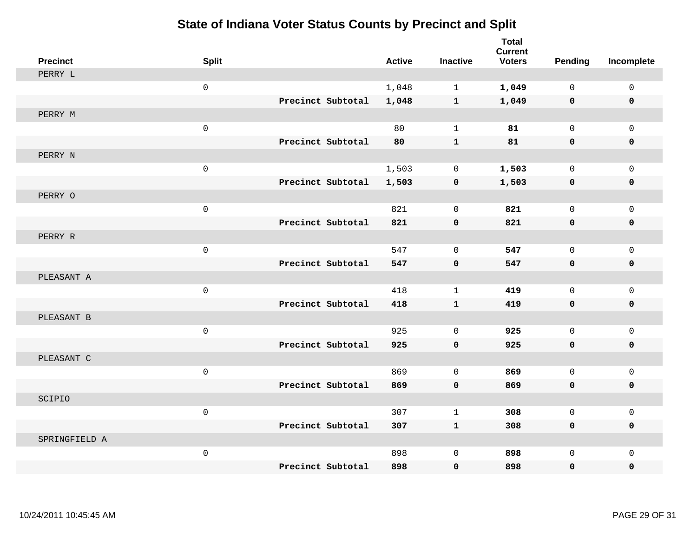| <b>Precinct</b> | <b>Split</b>        |                   | <b>Active</b> | <b>Inactive</b> | <b>Total</b><br><b>Current</b><br><b>Voters</b> | <b>Pending</b>      | Incomplete   |
|-----------------|---------------------|-------------------|---------------|-----------------|-------------------------------------------------|---------------------|--------------|
| PERRY L         |                     |                   |               |                 |                                                 |                     |              |
|                 | $\mathsf{O}\xspace$ |                   | 1,048         | $\mathbf{1}$    | 1,049                                           | $\mathbf 0$         | $\mathsf{O}$ |
|                 |                     | Precinct Subtotal | 1,048         | $\mathbf{1}$    | 1,049                                           | 0                   | 0            |
| PERRY M         |                     |                   |               |                 |                                                 |                     |              |
|                 | $\mathsf 0$         |                   | 80            | $\mathbf{1}$    | 81                                              | $\mathsf{O}\xspace$ | $\mathsf{O}$ |
|                 |                     | Precinct Subtotal | 80            | $\mathbf{1}$    | 81                                              | 0                   | 0            |
| PERRY N         |                     |                   |               |                 |                                                 |                     |              |
|                 | $\mathbf 0$         |                   | 1,503         | 0               | 1,503                                           | $\mathbf 0$         | $\mathsf{O}$ |
|                 |                     | Precinct Subtotal | 1,503         | 0               | 1,503                                           | 0                   | 0            |
| PERRY O         |                     |                   |               |                 |                                                 |                     |              |
|                 | $\mathsf 0$         |                   | 821           | $\mathbf 0$     | 821                                             | $\mathbf 0$         | $\mathbf 0$  |
|                 |                     | Precinct Subtotal | 821           | $\mathbf 0$     | 821                                             | 0                   | 0            |
| PERRY R         |                     |                   |               |                 |                                                 |                     |              |
|                 | $\mathbf 0$         |                   | 547           | $\Omega$        | 547                                             | $\Omega$            | $\mathbf 0$  |
|                 |                     | Precinct Subtotal | 547           | $\mathbf 0$     | 547                                             | 0                   | $\mathbf 0$  |
| PLEASANT A      |                     |                   |               |                 |                                                 |                     |              |
|                 | $\mathsf{O}\xspace$ |                   | 418           | $\mathbf 1$     | 419                                             | $\mathbf 0$         | $\mathbf 0$  |
|                 |                     | Precinct Subtotal | 418           | $\mathbf 1$     | 419                                             | 0                   | 0            |
| PLEASANT B      |                     |                   |               |                 |                                                 |                     |              |
|                 | $\mathbf 0$         |                   | 925           | $\mathbf 0$     | 925                                             | $\mathbf 0$         | $\mathbf 0$  |
|                 |                     | Precinct Subtotal | 925           | $\mathbf 0$     | 925                                             | $\mathbf 0$         | 0            |
| PLEASANT C      |                     |                   |               |                 |                                                 |                     |              |
|                 | $\mathsf{O}\xspace$ |                   | 869           | $\mathbf{0}$    | 869                                             | $\mathbf 0$         | $\mathsf{O}$ |
|                 |                     | Precinct Subtotal | 869           | 0               | 869                                             | 0                   | 0            |
| SCIPIO          |                     |                   |               |                 |                                                 |                     |              |
|                 | $\mathsf 0$         |                   | 307           | $\mathbf{1}$    | 308                                             | $\mathsf{O}\xspace$ | $\mathbf 0$  |
|                 |                     | Precinct Subtotal | 307           | $\mathbf{1}$    | 308                                             | 0                   | 0            |
| SPRINGFIELD A   |                     |                   |               |                 |                                                 |                     |              |
|                 | $\mathsf 0$         |                   | 898           | $\mathbf{0}$    | 898                                             | 0                   | $\mathbf 0$  |
|                 |                     | Precinct Subtotal | 898           | $\mathbf 0$     | 898                                             | 0                   | $\mathbf 0$  |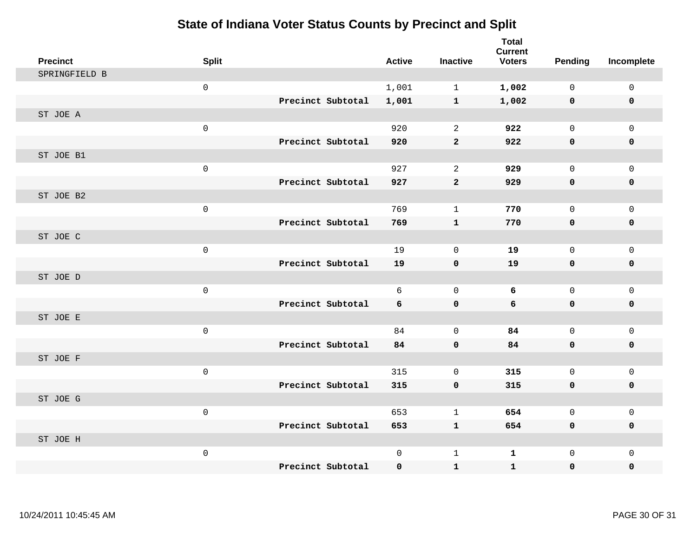| <b>Precinct</b> | <b>Split</b>        |                   | <b>Active</b> | <b>Inactive</b> | <b>Total</b><br><b>Current</b><br><b>Voters</b> | <b>Pending</b> | Incomplete   |
|-----------------|---------------------|-------------------|---------------|-----------------|-------------------------------------------------|----------------|--------------|
| SPRINGFIELD B   |                     |                   |               |                 |                                                 |                |              |
|                 | $\mathsf{O}\xspace$ |                   | 1,001         | $\mathbf{1}$    | 1,002                                           | $\Omega$       | 0            |
|                 |                     | Precinct Subtotal | 1,001         | $\mathbf{1}$    | 1,002                                           | 0              | $\mathbf 0$  |
| ST JOE A        |                     |                   |               |                 |                                                 |                |              |
|                 | $\mathbf 0$         |                   | 920           | 2               | 922                                             | $\Omega$       | $\mathbf{0}$ |
|                 |                     | Precinct Subtotal | 920           | $\mathbf{2}$    | 922                                             | 0              | $\mathbf 0$  |
| ST JOE B1       |                     |                   |               |                 |                                                 |                |              |
|                 | $\mathbf 0$         |                   | 927           | 2               | 929                                             | $\mathbf 0$    | $\mathsf{O}$ |
|                 |                     | Precinct Subtotal | 927           | $\overline{2}$  | 929                                             | 0              | 0            |
| ST JOE B2       |                     |                   |               |                 |                                                 |                |              |
|                 | $\mathsf{O}\xspace$ |                   | 769           | $\mathbf{1}$    | 770                                             | $\mathbf 0$    | $\mathbf{0}$ |
|                 |                     | Precinct Subtotal | 769           | $\mathbf{1}$    | 770                                             | 0              | 0            |
| ST JOE C        |                     |                   |               |                 |                                                 |                |              |
|                 | $\mathsf{O}$        |                   | 19            | $\mathbf 0$     | 19                                              | $\mathbf 0$    | $\mathbf 0$  |
|                 |                     | Precinct Subtotal | 19            | $\mathbf 0$     | 19                                              | 0              | 0            |
| ST JOE D        |                     |                   |               |                 |                                                 |                |              |
|                 | $\mathsf{O}$        |                   | 6             | $\mathbf 0$     | 6                                               | $\mathbf 0$    | $\mathsf{O}$ |
|                 |                     | Precinct Subtotal | 6             | $\pmb{0}$       | 6                                               | 0              | 0            |
| ST JOE E        |                     |                   |               |                 |                                                 |                |              |
|                 | $\mathbf 0$         |                   | 84            | $\mathbf 0$     | 84                                              | $\mathbf 0$    | $\mathbf 0$  |
|                 |                     | Precinct Subtotal | 84            | $\mathbf 0$     | 84                                              | 0              | 0            |
| ST JOE F        |                     |                   |               |                 |                                                 |                |              |
|                 | $\mathsf{O}$        |                   | 315           | $\Omega$        | 315                                             | 0              | $\mathsf{O}$ |
|                 |                     | Precinct Subtotal | 315           | $\mathbf 0$     | 315                                             | 0              | 0            |
| ST JOE G        |                     |                   |               |                 |                                                 |                |              |
|                 | $\mathsf{O}$        |                   | 653           | $\mathbf 1$     | 654                                             | 0              | $\mathsf{O}$ |
|                 |                     | Precinct Subtotal | 653           | $\mathbf{1}$    | 654                                             | 0              | 0            |
| ST JOE H        |                     |                   |               |                 |                                                 |                |              |
|                 | $\mathsf{O}$        |                   | $\mathbf 0$   | 1               | $\mathbf 1$                                     | 0              | $\mathbf 0$  |
|                 |                     | Precinct Subtotal | 0             | $\mathbf{1}$    | $\mathbf{1}$                                    | 0              | $\mathbf 0$  |